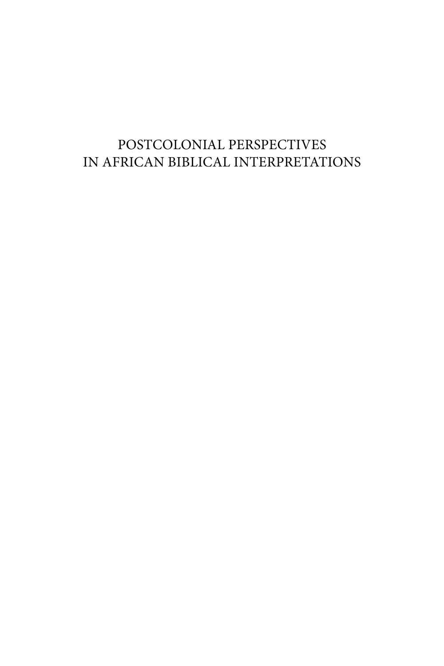## POSTCOLONIAL PERSPECTIVES IN AFRICAN BIBLICAL INTERPRETATIONS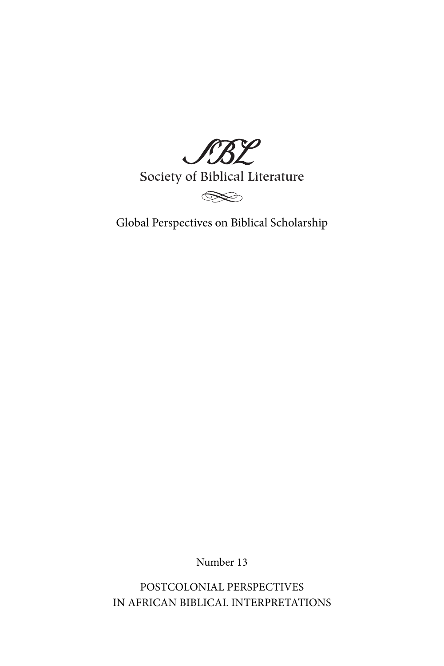JBL

Society of Biblical Literature



Global Perspectives on Biblical Scholarship

Number 13

POSTCOLONIAL PERSPECTIVES IN AFRICAN BIBLICAL INTERPRETATIONS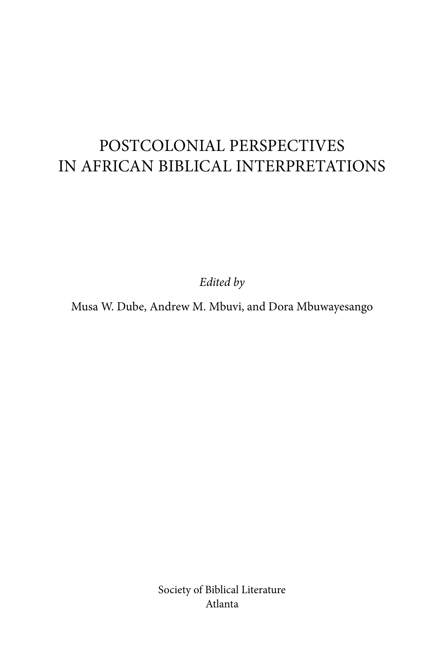# POSTCOLONIAL PERSPECTIVES IN AFRICAN BIBLICAL INTERPRETATIONS

*Edited by*

Musa W. Dube, Andrew M. Mbuvi, and Dora Mbuwayesango

Society of Biblical Literature Atlanta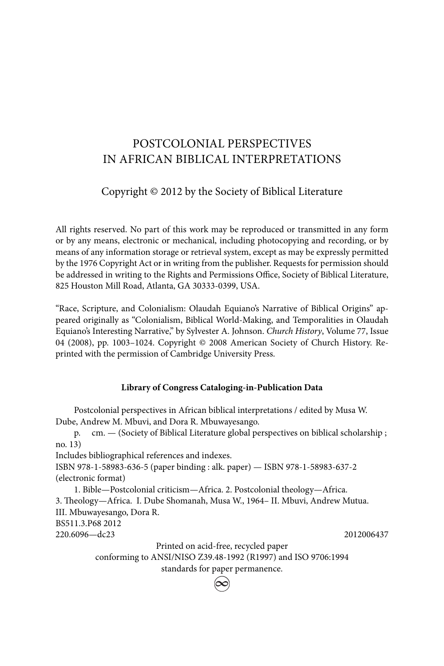### POSTCOLONIAL PERSPECTIVES IN AFRICAN BIBLICAL INTERPRETATIONS

### Copyright © 2012 by the Society of Biblical Literature

All rights reserved. No part of this work may be reproduced or transmitted in any form or by any means, electronic or mechanical, including photocopying and recording, or by means of any information storage or retrieval system, except as may be expressly permitted by the 1976 Copyright Act or in writing from the publisher. Requests for permission should be addressed in writing to the Rights and Permissions Office, Society of Biblical Literature, 825 Houston Mill Road, Atlanta, GA 30333-0399, USA.

"Race, Scripture, and Colonialism: Olaudah Equiano's Narrative of Biblical Origins" appeared originally as "Colonialism, Biblical World-Making, and Temporalities in Olaudah Equiano's Interesting Narrative," by Sylvester A. Johnson. *Church History*, Volume 77, Issue 04 (2008), pp. 1003–1024. Copyright © 2008 American Society of Church History. Reprinted with the permission of Cambridge University Press.

#### **Library of Congress Cataloging-in-Publication Data**

 Postcolonial perspectives in African biblical interpretations / edited by Musa W. Dube, Andrew M. Mbuvi, and Dora R. Mbuwayesango.

 p. cm. — (Society of Biblical Literature global perspectives on biblical scholarship ; no. 13)

Includes bibliographical references and indexes.

ISBN 978-1-58983-636-5 (paper binding : alk. paper) — ISBN 978-1-58983-637-2 (electronic format)

 1. Bible—Postcolonial criticism—Africa. 2. Postcolonial theology—Africa. 3. Theology—Africa. I. Dube Shomanah, Musa W., 1964- II. Mbuvi, Andrew Mutua. III. Mbuwayesango, Dora R. BS511.3.P68 2012 220.6096—dc23 2012006437

Printed on acid-free, recycled paper

conforming to ANSI/NISO Z39.48-1992 (R1997) and ISO 9706:1994

standards for paper permanence.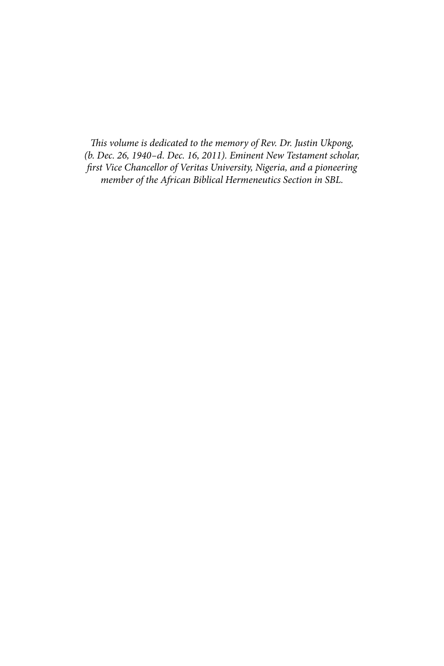This volume is dedicated to the memory of Rev. Dr. Justin Ukpong, *(b. Dec. 26, 1940–d. Dec. 16, 2011). Eminent New Testament scholar, fi rst Vice Chancellor of Veritas University, Nigeria, and a pioneering member of the African Biblical Hermeneutics Section in SBL.*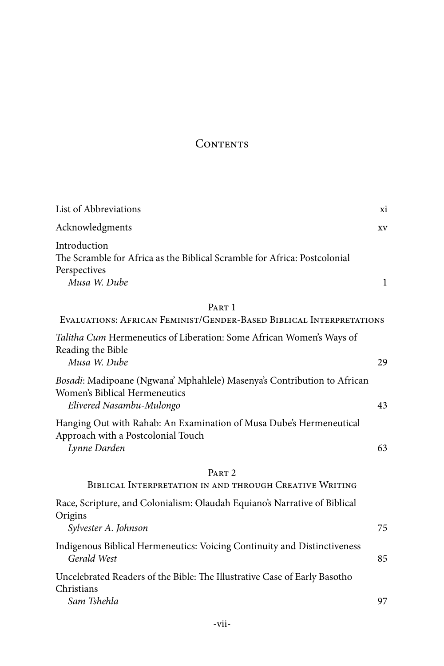### CONTENTS

| List of Abbreviations                                                                                                                | xi           |
|--------------------------------------------------------------------------------------------------------------------------------------|--------------|
| Acknowledgments                                                                                                                      | XV           |
| Introduction<br>The Scramble for Africa as the Biblical Scramble for Africa: Postcolonial<br>Perspectives<br>Musa W. Dube            | $\mathbf{1}$ |
| PART 1                                                                                                                               |              |
| EVALUATIONS: AFRICAN FEMINIST/GENDER-BASED BIBLICAL INTERPRETATIONS                                                                  |              |
| Talitha Cum Hermeneutics of Liberation: Some African Women's Ways of<br>Reading the Bible<br>Musa W. Dube                            | 29           |
|                                                                                                                                      |              |
| Bosadi: Madipoane (Ngwana' Mphahlele) Masenya's Contribution to African<br>Women's Biblical Hermeneutics<br>Elivered Nasambu-Mulongo | 43           |
| Hanging Out with Rahab: An Examination of Musa Dube's Hermeneutical<br>Approach with a Postcolonial Touch<br>Lynne Darden            | 63           |
| PART <sub>2</sub>                                                                                                                    |              |
| BIBLICAL INTERPRETATION IN AND THROUGH CREATIVE WRITING                                                                              |              |
| Race, Scripture, and Colonialism: Olaudah Equiano's Narrative of Biblical<br>Origins                                                 |              |
| Sylvester A. Johnson                                                                                                                 | 75           |
| Indigenous Biblical Hermeneutics: Voicing Continuity and Distinctiveness<br>Gerald West                                              | 85           |
| Uncelebrated Readers of the Bible: The Illustrative Case of Early Basotho<br>Christians                                              |              |
| Sam Tshehla                                                                                                                          | 97           |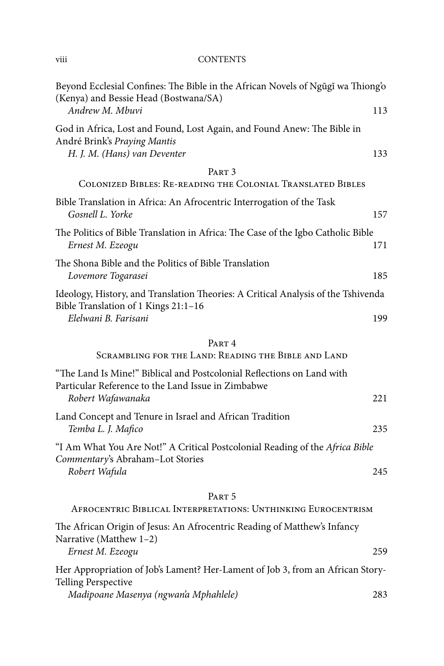#### viii CONTENTS

| Beyond Ecclesial Confines: The Bible in the African Novels of Ngũgĩ wa Thiong'o<br>(Kenya) and Bessie Head (Bostwana/SA)                          |     |
|---------------------------------------------------------------------------------------------------------------------------------------------------|-----|
| Andrew M. Mbuvi                                                                                                                                   | 113 |
| God in Africa, Lost and Found, Lost Again, and Found Anew: The Bible in<br>André Brink's Praying Mantis<br>H. J. M. (Hans) van Deventer           | 133 |
| PART <sub>3</sub>                                                                                                                                 |     |
| COLONIZED BIBLES: RE-READING THE COLONIAL TRANSLATED BIBLES                                                                                       |     |
| Bible Translation in Africa: An Afrocentric Interrogation of the Task<br>Gosnell L. Yorke                                                         | 157 |
| The Politics of Bible Translation in Africa: The Case of the Igbo Catholic Bible<br>Ernest M. Ezeogu                                              | 171 |
| The Shona Bible and the Politics of Bible Translation<br>Lovemore Togarasei                                                                       | 185 |
| Ideology, History, and Translation Theories: A Critical Analysis of the Tshivenda<br>Bible Translation of 1 Kings 21:1-16                         |     |
| Elelwani B. Farisani                                                                                                                              | 199 |
| PART <sub>4</sub>                                                                                                                                 |     |
| SCRAMBLING FOR THE LAND: READING THE BIBLE AND LAND                                                                                               |     |
| "The Land Is Mine!" Biblical and Postcolonial Reflections on Land with<br>Particular Reference to the Land Issue in Zimbabwe<br>Robert Wafawanaka | 221 |
|                                                                                                                                                   |     |
| Land Concept and Tenure in Israel and African Tradition<br>Temba L. J. Mafico                                                                     | 235 |
| "I Am What You Are Not!" A Critical Postcolonial Reading of the Africa Bible<br>Commentary's Abraham-Lot Stories                                  |     |
| Robert Wafula                                                                                                                                     | 245 |
| PART <sub>5</sub>                                                                                                                                 |     |
| AFROCENTRIC BIBLICAL INTERPRETATIONS: UNTHINKING EUROCENTRISM                                                                                     |     |
| The African Origin of Jesus: An Afrocentric Reading of Matthew's Infancy<br>Narrative (Matthew 1-2)                                               |     |
| Ernest M. Ezeogu                                                                                                                                  | 259 |
| Her Appropriation of Job's Lament? Her-Lament of Job 3, from an African Story-<br><b>Telling Perspective</b>                                      |     |
| Madipoane Masenya (ngwan'a Mphahlele)                                                                                                             | 283 |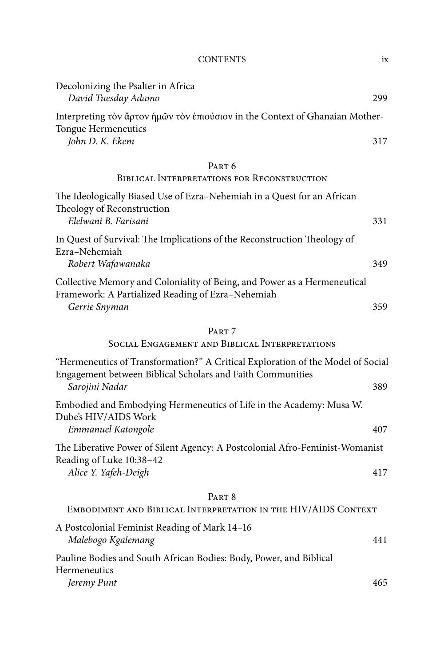#### CONTENTS ix

| Decolonizing the Psalter in Africa<br>David Tuesday Adamo                                                                                                       | 299 |  |
|-----------------------------------------------------------------------------------------------------------------------------------------------------------------|-----|--|
| Interpreting τον ἄρτον ἡμῶν τον ἐπιούσιον in the Context of Ghanaian Mother-<br>Tongue Hermeneutics                                                             |     |  |
| John D. K. Ekem                                                                                                                                                 | 317 |  |
| PART <sub>6</sub><br><b>BIBLICAL INTERPRETATIONS FOR RECONSTRUCTION</b>                                                                                         |     |  |
| The Ideologically Biased Use of Ezra-Nehemiah in a Quest for an African<br>Theology of Reconstruction<br>Elelwani B. Farisani                                   | 331 |  |
| In Quest of Survival: The Implications of the Reconstruction Theology of<br>Ezra-Nehemiah                                                                       |     |  |
| Robert Wafawanaka                                                                                                                                               | 349 |  |
| Collective Memory and Coloniality of Being, and Power as a Hermeneutical<br>Framework: A Partialized Reading of Ezra-Nehemiah                                   |     |  |
| Gerrie Snyman                                                                                                                                                   | 359 |  |
| PART <sub>7</sub><br>SOCIAL ENGAGEMENT AND BIBLICAL INTERPRETATIONS                                                                                             |     |  |
| "Hermeneutics of Transformation?" A Critical Exploration of the Model of Social<br>Engagement between Biblical Scholars and Faith Communities<br>Sarojini Nadar | 389 |  |
| Embodied and Embodying Hermeneutics of Life in the Academy: Musa W.                                                                                             |     |  |
| Dube's HIV/AIDS Work<br>Emmanuel Katongole                                                                                                                      | 407 |  |
| The Liberative Power of Silent Agency: A Postcolonial Afro-Feminist-Womanist                                                                                    |     |  |
| Reading of Luke 10:38-42<br>Alice Y. Yafeh-Deigh                                                                                                                | 417 |  |
| PART <sub>8</sub>                                                                                                                                               |     |  |
| EMBODIMENT AND BIBLICAL INTERPRETATION IN THE HIV/AIDS CONTEXT                                                                                                  |     |  |
| A Postcolonial Feminist Reading of Mark 14-16<br>Malebogo Kgalemang                                                                                             | 441 |  |
| Pauline Bodies and South African Bodies: Body, Power, and Biblical<br>Hermeneutics                                                                              |     |  |
| Jeremy Punt                                                                                                                                                     | 465 |  |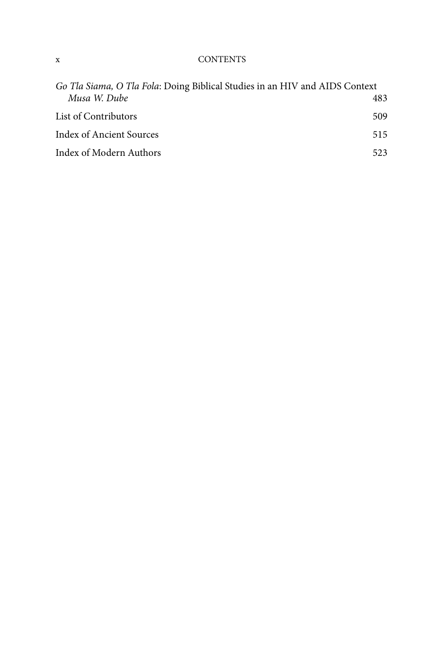#### x CONTENTS

| Go Tla Siama, O Tla Fola: Doing Biblical Studies in an HIV and AIDS Context |     |
|-----------------------------------------------------------------------------|-----|
| Musa W. Dube                                                                | 483 |
| List of Contributors                                                        | 509 |
| Index of Ancient Sources                                                    | 515 |
| Index of Modern Authors                                                     | 523 |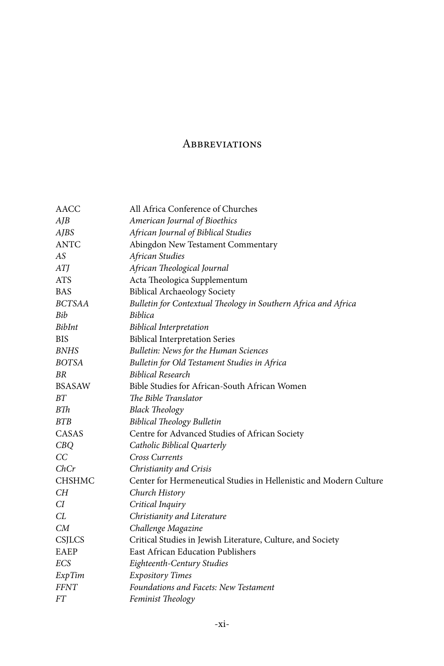### **ABBREVIATIONS**

| AACC          | All Africa Conference of Churches                                  |
|---------------|--------------------------------------------------------------------|
| AJB           | American Journal of Bioethics                                      |
| <b>AJBS</b>   | African Journal of Biblical Studies                                |
| <b>ANTC</b>   | Abingdon New Testament Commentary                                  |
| AS            | African Studies                                                    |
| ATJ           | African Theological Journal                                        |
| <b>ATS</b>    | Acta Theologica Supplementum                                       |
| <b>BAS</b>    | <b>Biblical Archaeology Society</b>                                |
| BCTSAA        | Bulletin for Contextual Theology in Southern Africa and Africa     |
| Bib           | <b>Biblica</b>                                                     |
| <b>BibInt</b> | <b>Biblical Interpretation</b>                                     |
| <b>BIS</b>    | <b>Biblical Interpretation Series</b>                              |
| <b>BNHS</b>   | Bulletin: News for the Human Sciences                              |
| <b>BOTSA</b>  | Bulletin for Old Testament Studies in Africa                       |
| <b>BR</b>     | <b>Biblical Research</b>                                           |
| <b>BSASAW</b> | Bible Studies for African-South African Women                      |
| ΒT            | The Bible Translator                                               |
| BTh           | <b>Black Theology</b>                                              |
| <b>BTB</b>    | <b>Biblical Theology Bulletin</b>                                  |
| CASAS         | Centre for Advanced Studies of African Society                     |
| CBQ           | Catholic Biblical Quarterly                                        |
| CC            | <b>Cross Currents</b>                                              |
| ChCr          | Christianity and Crisis                                            |
| <b>CHSHMC</b> | Center for Hermeneutical Studies in Hellenistic and Modern Culture |
| CН            | Church History                                                     |
| CI            | Critical Inquiry                                                   |
| CL            | Christianity and Literature                                        |
| CM            | Challenge Magazine                                                 |
| CSJLCS        | Critical Studies in Jewish Literature, Culture, and Society        |
| EAEP          | <b>East African Education Publishers</b>                           |
| ECS           | Eighteenth-Century Studies                                         |
| ExpTim        | <b>Expository Times</b>                                            |
| <b>FFNT</b>   | Foundations and Facets: New Testament                              |
| <b>FT</b>     | Feminist Theology                                                  |
|               |                                                                    |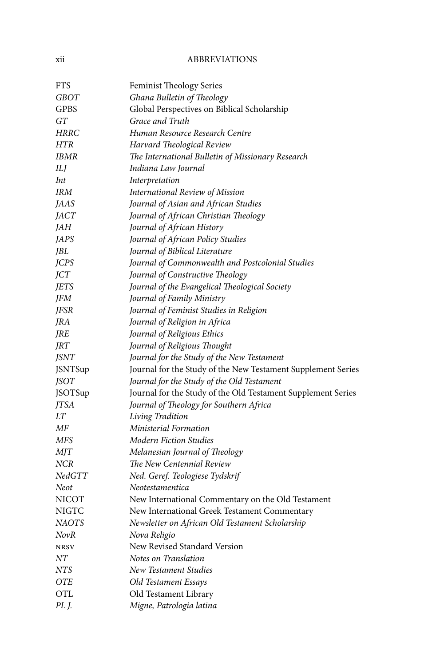#### xii ABBREVIATIONS

| <b>FTS</b>     | <b>Feminist Theology Series</b>                              |
|----------------|--------------------------------------------------------------|
| GBOT           | Ghana Bulletin of Theology                                   |
| <b>GPBS</b>    | Global Perspectives on Biblical Scholarship                  |
| GT             | Grace and Truth                                              |
| <b>HRRC</b>    | Human Resource Research Centre                               |
| <b>HTR</b>     | Harvard Theological Review                                   |
| IBMR           | The International Bulletin of Missionary Research            |
| ILI            | Indiana Law Journal                                          |
| Int            | Interpretation                                               |
| <b>IRM</b>     | International Review of Mission                              |
| JAAS           | Journal of Asian and African Studies                         |
| <i>JACT</i>    | Journal of African Christian Theology                        |
| JAH            | Journal of African History                                   |
| JAPS           | Journal of African Policy Studies                            |
| JBL            | Journal of Biblical Literature                               |
| <b>JCPS</b>    | Journal of Commonwealth and Postcolonial Studies             |
| JCT            | Journal of Constructive Theology                             |
| <b>JETS</b>    | Journal of the Evangelical Theological Society               |
| JFM            | Journal of Family Ministry                                   |
| <b>JFSR</b>    | Journal of Feminist Studies in Religion                      |
| JRA            | Journal of Religion in Africa                                |
| JRE            | Journal of Religious Ethics                                  |
| JRT            | Journal of Religious Thought                                 |
| <b>JSNT</b>    | Journal for the Study of the New Testament                   |
| <b>JSNTSup</b> | Journal for the Study of the New Testament Supplement Series |
| <b>JSOT</b>    | Journal for the Study of the Old Testament                   |
| <b>JSOTSup</b> | Journal for the Study of the Old Testament Supplement Series |
| <b>JTSA</b>    | Journal of Theology for Southern Africa                      |
| LT             | Living Tradition                                             |
| МF             | Ministerial Formation                                        |
| MFS            | Modern Fiction Studies                                       |
| <b>MIT</b>     | Melanesian Journal of Theology                               |
| <b>NCR</b>     | The New Centennial Review                                    |
| NedGTT         | Ned. Geref. Teologiese Tydskrif                              |
| Neot           | Neotestamentica                                              |
| NICOT          | New International Commentary on the Old Testament            |
| NIGTC          | New International Greek Testament Commentary                 |
| NAOTS          | Newsletter on African Old Testament Scholarship              |
| NovR           | Nova Religio                                                 |
| <b>NRSV</b>    | New Revised Standard Version                                 |
| NΤ             | Notes on Translation                                         |
| NTS            | New Testament Studies                                        |
| <b>OTE</b>     | Old Testament Essays                                         |
| <b>OTL</b>     | Old Testament Library                                        |
| PL J.          | Migne, Patrologia latina                                     |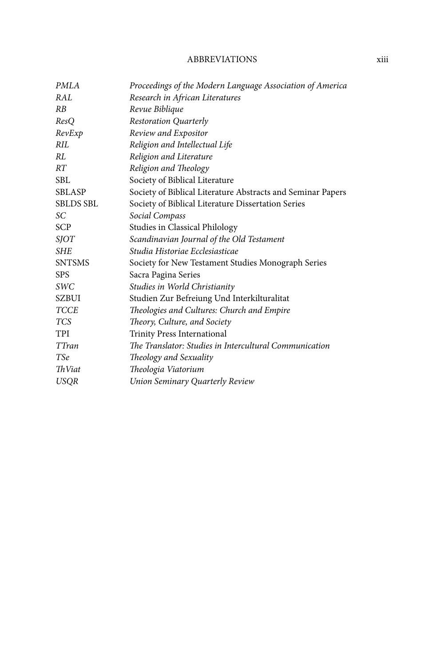#### ABBREVIATIONS xiii

| PMLA             | Proceedings of the Modern Language Association of America   |
|------------------|-------------------------------------------------------------|
| RAL              | Research in African Literatures                             |
| <b>RB</b>        | Revue Biblique                                              |
| ResO             | <b>Restoration Quarterly</b>                                |
| RevExp           | Review and Expositor                                        |
| RII.             | Religion and Intellectual Life                              |
| RL               | Religion and Literature                                     |
| RT               | Religion and Theology                                       |
| SBL              | Society of Biblical Literature                              |
| <b>SBLASP</b>    | Society of Biblical Literature Abstracts and Seminar Papers |
| <b>SBLDS SBL</b> | Society of Biblical Literature Dissertation Series          |
| SС               | Social Compass                                              |
| <b>SCP</b>       | Studies in Classical Philology                              |
| <b>SJOT</b>      | Scandinavian Journal of the Old Testament                   |
| <b>SHE</b>       | Studia Historiae Ecclesiasticae                             |
| <b>SNTSMS</b>    | Society for New Testament Studies Monograph Series          |
| <b>SPS</b>       | Sacra Pagina Series                                         |
| <i>SWC</i>       | Studies in World Christianity                               |
| <b>SZBUI</b>     | Studien Zur Befreiung Und Interkilturalitat                 |
| <b>TCCE</b>      | Theologies and Cultures: Church and Empire                  |
| <b>TCS</b>       | Theory, Culture, and Society                                |
| TPI              | Trinity Press International                                 |
| TTran            | The Translator: Studies in Intercultural Communication      |
| <b>TSe</b>       | Theology and Sexuality                                      |
| <b>ThViat</b>    | Theologia Viatorium                                         |
| <b>USQR</b>      | Union Seminary Quarterly Review                             |
|                  |                                                             |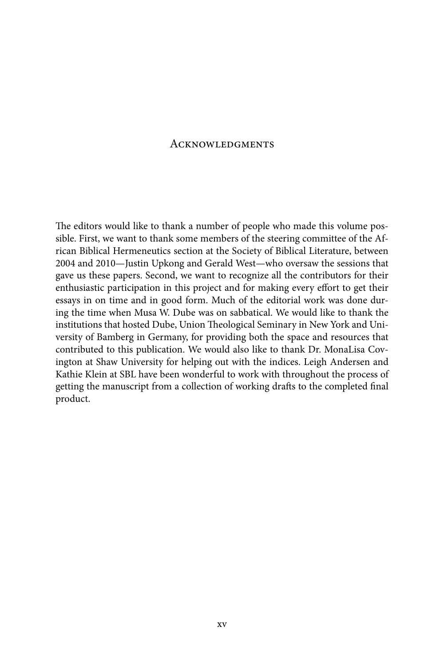#### **ACKNOWLEDGMENTS**

The editors would like to thank a number of people who made this volume possible. First, we want to thank some members of the steering committee of the African Biblical Hermeneutics section at the Society of Biblical Literature, between 2004 and 2010—Justin Upkong and Gerald West—who oversaw the sessions that gave us these papers. Second, we want to recognize all the contributors for their enthusiastic participation in this project and for making every effort to get their essays in on time and in good form. Much of the editorial work was done during the time when Musa W. Dube was on sabbatical. We would like to thank the institutions that hosted Dube, Union Theological Seminary in New York and University of Bamberg in Germany, for providing both the space and resources that contributed to this publication. We would also like to thank Dr. MonaLisa Covington at Shaw University for helping out with the indices. Leigh Andersen and Kathie Klein at SBL have been wonderful to work with throughout the process of getting the manuscript from a collection of working drafts to the completed final product.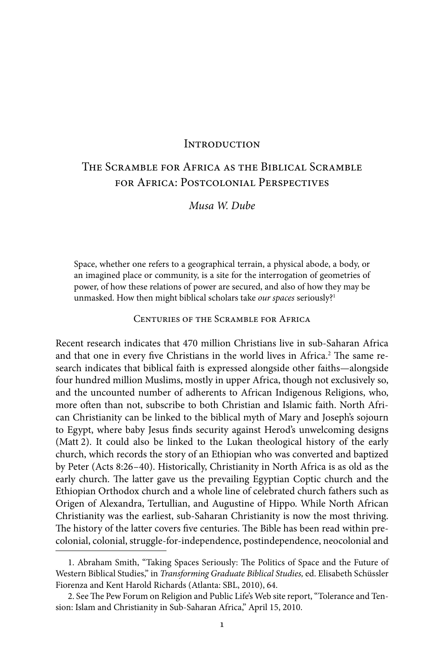#### **INTRODUCTION**

### The Scramble for Africa as the Biblical Scramble for Africa: Postcolonial Perspectives

*Musa W. Dube*

Space, whether one refers to a geographical terrain, a physical abode, a body, or an imagined place or community, is a site for the interrogation of geometries of power, of how these relations of power are secured, and also of how they may be unmasked. How then might biblical scholars take *our spaces* seriously?1

#### Centuries of the Scramble for Africa

Recent research indicates that 470 million Christians live in sub-Saharan Africa and that one in every five Christians in the world lives in Africa.<sup>2</sup> The same research indicates that biblical faith is expressed alongside other faiths—alongside four hundred million Muslims, mostly in upper Africa, though not exclusively so, and the uncounted number of adherents to African Indigenous Religions, who, more often than not, subscribe to both Christian and Islamic faith. North African Christianity can be linked to the biblical myth of Mary and Joseph's sojourn to Egypt, where baby Jesus finds security against Herod's unwelcoming designs (Matt 2). It could also be linked to the Lukan theological history of the early church, which records the story of an Ethiopian who was converted and baptized by Peter (Acts 8:26–40). Historically, Christianity in North Africa is as old as the early church. The latter gave us the prevailing Egyptian Coptic church and the Ethiopian Orthodox church and a whole line of celebrated church fathers such as Origen of Alexandra, Tertullian, and Augustine of Hippo. While North African Christianity was the earliest, sub-Saharan Christianity is now the most thriving. The history of the latter covers five centuries. The Bible has been read within precolonial, colonial, struggle-for-independence, postindependence, neocolonial and

<sup>1.</sup> Abraham Smith, "Taking Spaces Seriously: The Politics of Space and the Future of Western Biblical Studies," in *Transforming Graduate Biblical Studies,* ed. Elisabeth Schüssler Fiorenza and Kent Harold Richards (Atlanta: SBL, 2010), 64.

<sup>2.</sup> See The Pew Forum on Religion and Public Life's Web site report, "Tolerance and Tension: Islam and Christianity in Sub-Saharan Africa," April 15, 2010.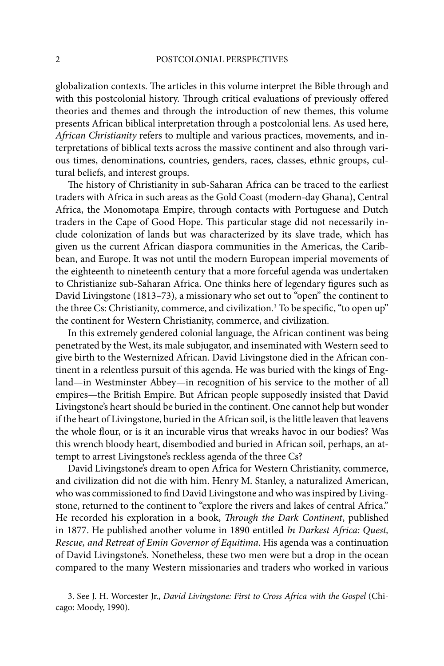globalization contexts. The articles in this volume interpret the Bible through and with this postcolonial history. Through critical evaluations of previously offered theories and themes and through the introduction of new themes, this volume presents African biblical interpretation through a postcolonial lens. As used here, *African Christianity* refers to multiple and various practices, movements, and interpretations of biblical texts across the massive continent and also through various times, denominations, countries, genders, races, classes, ethnic groups, cultural beliefs, and interest groups.

The history of Christianity in sub-Saharan Africa can be traced to the earliest traders with Africa in such areas as the Gold Coast (modern-day Ghana), Central Africa, the Monomotapa Empire, through contacts with Portuguese and Dutch traders in the Cape of Good Hope. This particular stage did not necessarily include colonization of lands but was characterized by its slave trade, which has given us the current African diaspora communities in the Americas, the Caribbean, and Europe. It was not until the modern European imperial movements of the eighteenth to nineteenth century that a more forceful agenda was undertaken to Christianize sub-Saharan Africa. One thinks here of legendary figures such as David Livingstone (1813–73), a missionary who set out to "open" the continent to the three Cs: Christianity, commerce, and civilization.<sup>3</sup> To be specific, "to open up" the continent for Western Christianity, commerce, and civilization.

In this extremely gendered colonial language, the African continent was being penetrated by the West, its male subjugator, and inseminated with Western seed to give birth to the Westernized African. David Livingstone died in the African continent in a relentless pursuit of this agenda. He was buried with the kings of England—in Westminster Abbey—in recognition of his service to the mother of all empires—the British Empire. But African people supposedly insisted that David Livingstone's heart should be buried in the continent. One cannot help but wonder if the heart of Livingstone, buried in the African soil, is the little leaven that leavens the whole flour, or is it an incurable virus that wreaks havoc in our bodies? Was this wrench bloody heart, disembodied and buried in African soil, perhaps, an attempt to arrest Livingstone's reckless agenda of the three Cs?

David Livingstone's dream to open Africa for Western Christianity, commerce, and civilization did not die with him. Henry M. Stanley, a naturalized American, who was commissioned to find David Livingstone and who was inspired by Livingstone, returned to the continent to "explore the rivers and lakes of central Africa." He recorded his exploration in a book, *Through the Dark Continent*, published in 1877. He published another volume in 1890 entitled *In Darkest Africa: Quest, Rescue, and Retreat of Emin Governor of Equitima*. His agenda was a continuation of David Livingstone's. Nonetheless, these two men were but a drop in the ocean compared to the many Western missionaries and traders who worked in various

<sup>3.</sup> See J. H. Worcester Jr., *David Livingstone: First to Cross Africa with the Gospel* (Chicago: Moody, 1990).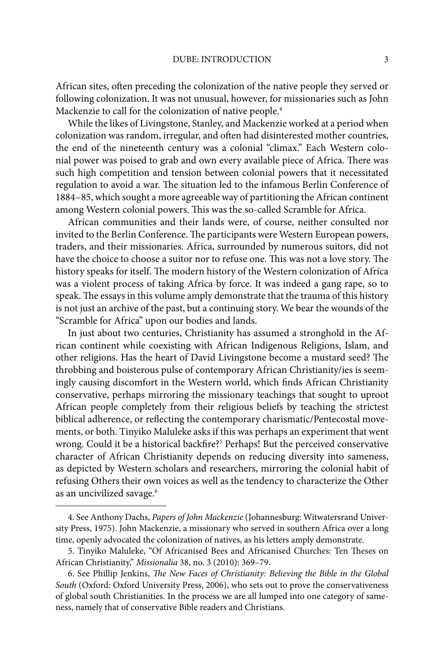African sites, often preceding the colonization of the native people they served or following colonization. It was not unusual, however, for missionaries such as John Mackenzie to call for the colonization of native people.4

While the likes of Livingstone, Stanley, and Mackenzie worked at a period when colonization was random, irregular, and often had disinterested mother countries, the end of the nineteenth century was a colonial "climax.'' Each Western colonial power was poised to grab and own every available piece of Africa. There was such high competition and tension between colonial powers that it necessitated regulation to avoid a war. The situation led to the infamous Berlin Conference of 1884–85, which sought a more agreeable way of partitioning the African continent among Western colonial powers. This was the so-called Scramble for Africa.

African communities and their lands were, of course, neither consulted nor invited to the Berlin Conference. The participants were Western European powers, traders, and their missionaries. Africa, surrounded by numerous suitors, did not have the choice to choose a suitor nor to refuse one. This was not a love story. The history speaks for itself. The modern history of the Western colonization of Africa was a violent process of taking Africa by force. It was indeed a gang rape, so to speak. The essays in this volume amply demonstrate that the trauma of this history is not just an archive of the past, but a continuing story. We bear the wounds of the "Scramble for Africa" upon our bodies and lands.

In just about two centuries, Christianity has assumed a stronghold in the African continent while coexisting with African Indigenous Religions, Islam, and other religions. Has the heart of David Livingstone become a mustard seed? The throbbing and boisterous pulse of contemporary African Christianity/ies is seemingly causing discomfort in the Western world, which finds African Christianity conservative, perhaps mirroring the missionary teachings that sought to uproot African people completely from their religious beliefs by teaching the strictest biblical adherence, or reflecting the contemporary charismatic/Pentecostal movements, or both. Tinyiko Maluleke asks if this was perhaps an experiment that went wrong. Could it be a historical backfire?<sup>5</sup> Perhaps! But the perceived conservative character of African Christianity depends on reducing diversity into sameness, as depicted by Western scholars and researchers, mirroring the colonial habit of refusing Others their own voices as well as the tendency to characterize the Other as an uncivilized savage.<sup>6</sup>

<sup>4.</sup> See Anthony Dachs, *Papers of John Mackenzie* (Johannesburg: Witwatersrand University Press, 1975). John Mackenzie, a missionary who served in southern Africa over a long time, openly advocated the colonization of natives, as his letters amply demonstrate.

<sup>5.</sup> Tinyiko Maluleke, "Of Africanised Bees and Africanised Churches: Ten Theses on African Christianity," *Missionalia* 38, no. 3 (2010): 369–79.

<sup>6.</sup> See Phillip Jenkins, *The New Faces of Christianity: Believing the Bible in the Global South* (Oxford: Oxford University Press, 2006), who sets out to prove the conservativeness of global south Christianities. In the process we are all lumped into one category of sameness, namely that of conservative Bible readers and Christians.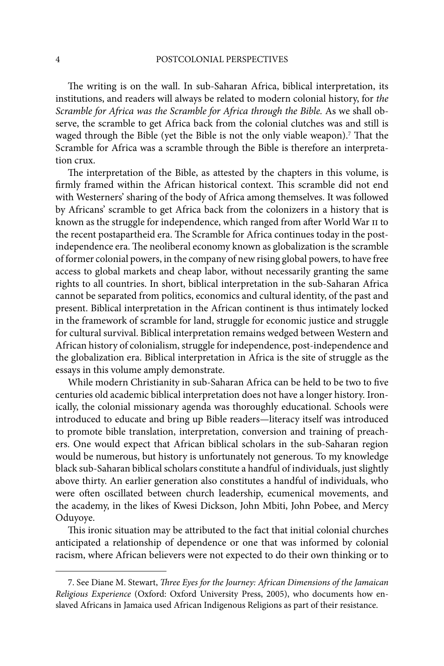The writing is on the wall. In sub-Saharan Africa, biblical interpretation, its institutions, and readers will always be related to modern colonial history, for *the Scramble for Africa was the Scramble for Africa through the Bible.* As we shall observe, the scramble to get Africa back from the colonial clutches was and still is waged through the Bible (yet the Bible is not the only viable weapon).<sup>7</sup> That the Scramble for Africa was a scramble through the Bible is therefore an interpretation crux.

The interpretation of the Bible, as attested by the chapters in this volume, is firmly framed within the African historical context. This scramble did not end with Westerners' sharing of the body of Africa among themselves. It was followed by Africans' scramble to get Africa back from the colonizers in a history that is known as the struggle for independence, which ranged from after World War II to the recent postapartheid era. The Scramble for Africa continues today in the postindependence era. The neoliberal economy known as globalization is the scramble of former colonial powers, in the company of new rising global powers, to have free access to global markets and cheap labor, without necessarily granting the same rights to all countries. In short, biblical interpretation in the sub-Saharan Africa cannot be separated from politics, economics and cultural identity, of the past and present. Biblical interpretation in the African continent is thus intimately locked in the framework of scramble for land, struggle for economic justice and struggle for cultural survival. Biblical interpretation remains wedged between Western and African history of colonialism, struggle for independence, post-independence and the globalization era. Biblical interpretation in Africa is the site of struggle as the essays in this volume amply demonstrate.

While modern Christianity in sub-Saharan Africa can be held to be two to five centuries old academic biblical interpretation does not have a longer history. Ironically, the colonial missionary agenda was thoroughly educational. Schools were introduced to educate and bring up Bible readers—literacy itself was introduced to promote bible translation, interpretation, conversion and training of preachers. One would expect that African biblical scholars in the sub-Saharan region would be numerous, but history is unfortunately not generous. To my knowledge black sub-Saharan biblical scholars constitute a handful of individuals, just slightly above thirty. An earlier generation also constitutes a handful of individuals, who were often oscillated between church leadership, ecumenical movements, and the academy, in the likes of Kwesi Dickson, John Mbiti, John Pobee, and Mercy Oduyoye.

This ironic situation may be attributed to the fact that initial colonial churches anticipated a relationship of dependence or one that was informed by colonial racism, where African believers were not expected to do their own thinking or to

<sup>7.</sup> See Diane M. Stewart, *Three Eyes for the Journey: African Dimensions of the Jamaican Religious Experience* (Oxford: Oxford University Press, 2005), who documents how enslaved Africans in Jamaica used African Indigenous Religions as part of their resistance.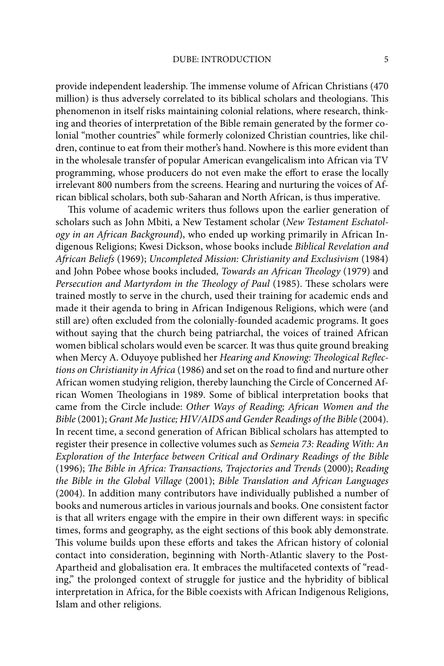provide independent leadership. The immense volume of African Christians (470 million) is thus adversely correlated to its biblical scholars and theologians. This phenomenon in itself risks maintaining colonial relations, where research, thinking and theories of interpretation of the Bible remain generated by the former colonial "mother countries" while formerly colonized Christian countries, like children, continue to eat from their mother's hand. Nowhere is this more evident than in the wholesale transfer of popular American evangelicalism into African via TV programming, whose producers do not even make the effort to erase the locally irrelevant 800 numbers from the screens. Hearing and nurturing the voices of African biblical scholars, both sub-Saharan and North African, is thus imperative.

This volume of academic writers thus follows upon the earlier generation of scholars such as John Mbiti, a New Testament scholar (*New Testament Eschatology in an African Background*), who ended up working primarily in African Indigenous Religions; Kwesi Dickson, whose books include *Biblical Revelation and African Beliefs* (1969); *Uncompleted Mission: Christianity and Exclusivism* (1984) and John Pobee whose books included, *Towards an African Theology* (1979) and Persecution and Martyrdom in the Theology of Paul (1985). These scholars were trained mostly to serve in the church, used their training for academic ends and made it their agenda to bring in African Indigenous Religions, which were (and still are) often excluded from the colonially-founded academic programs. It goes without saying that the church being patriarchal, the voices of trained African women biblical scholars would even be scarcer. It was thus quite ground breaking when Mercy A. Oduyoye published her Hearing and Knowing: Theological Reflec*tions on Christianity in Africa* (1986) and set on the road to find and nurture other African women studying religion, thereby launching the Circle of Concerned African Women Theologians in 1989. Some of biblical interpretation books that came from the Circle include: *Other Ways of Reading; African Women and the Bible* (2001); *Grant Me Justice; HIV/AIDS and Gender Readings of the Bible* (2004). In recent time, a second generation of African Biblical scholars has attempted to register their presence in collective volumes such as *Semeia 73: Reading With: An Exploration of the Interface between Critical and Ordinary Readings of the Bible* (1996); *The Bible in Africa: Transactions, Trajectories and Trends* (2000); *Reading the Bible in the Global Village* (2001); *Bible Translation and African Languages*  (2004). In addition many contributors have individually published a number of books and numerous articles in various journals and books. One consistent factor is that all writers engage with the empire in their own different ways: in specific times, forms and geography, as the eight sections of this book ably demonstrate. This volume builds upon these efforts and takes the African history of colonial contact into consideration, beginning with North-Atlantic slavery to the Post-Apartheid and globalisation era. It embraces the multifaceted contexts of "reading," the prolonged context of struggle for justice and the hybridity of biblical interpretation in Africa, for the Bible coexists with African Indigenous Religions, Islam and other religions.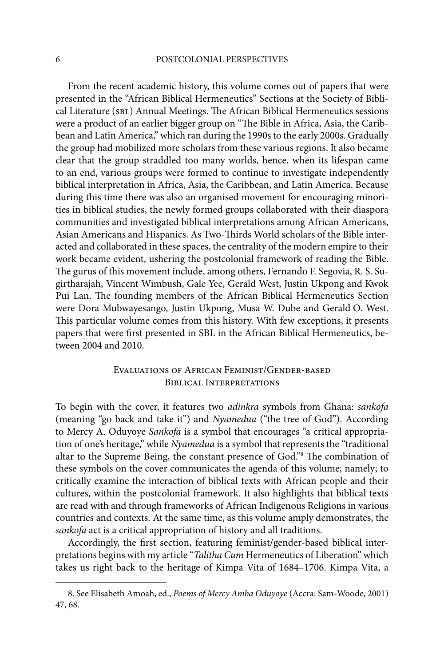#### 6 POSTCOLONIAL PERSPECTIVES

From the recent academic history, this volume comes out of papers that were presented in the "African Biblical Hermeneutics" Sections at the Society of Biblical Literature (SBL) Annual Meetings. The African Biblical Hermeneutics sessions were a product of an earlier bigger group on "The Bible in Africa, Asia, the Caribbean and Latin America," which ran during the 1990s to the early 2000s. Gradually the group had mobilized more scholars from these various regions. It also became clear that the group straddled too many worlds, hence, when its lifespan came to an end, various groups were formed to continue to investigate independently biblical interpretation in Africa, Asia, the Caribbean, and Latin America. Because during this time there was also an organised movement for encouraging minorities in biblical studies, the newly formed groups collaborated with their diaspora communities and investigated biblical interpretations among African Americans, Asian Americans and Hispanics. As Two-Th irds World scholars of the Bible interacted and collaborated in these spaces, the centrality of the modern empire to their work became evident, ushering the postcolonial framework of reading the Bible. The gurus of this movement include, among others, Fernando F. Segovia, R. S. Sugirtharajah, Vincent Wimbush, Gale Yee, Gerald West, Justin Ukpong and Kwok Pui Lan. The founding members of the African Biblical Hermeneutics Section were Dora Mubwayesango, Justin Ukpong, Musa W. Dube and Gerald O. West. This particular volume comes from this history. With few exceptions, it presents papers that were first presented in SBL in the African Biblical Hermeneutics, between 2004 and 2010.

#### Evaluations of African Feminist/Gender-based Biblical Interpretations

To begin with the cover, it features two *adinkra* symbols from Ghana: *sankofa* (meaning "go back and take it") and *Nyamedua* ("the tree of God"). According to Mercy A. Oduyoye *Sankofa* is a symbol that encourages "a critical appropriation of one's heritage," while *Nyamedua* is a symbol that represents the "traditional altar to the Supreme Being, the constant presence of God."<sup>8</sup> The combination of these symbols on the cover communicates the agenda of this volume; namely; to critically examine the interaction of biblical texts with African people and their cultures, within the postcolonial framework. It also highlights that biblical texts are read with and through frameworks of African Indigenous Religions in various countries and contexts. At the same time, as this volume amply demonstrates, the *sankofa* act is a critical appropriation of history and all traditions.

Accordingly, the first section, featuring feminist/gender-based biblical interpretations begins with my article "*Talitha Cum* Hermeneutics of Liberation" which takes us right back to the heritage of Kimpa Vita of 1684–1706. Kimpa Vita, a

<sup>8.</sup> See Elisabeth Amoah, ed., *Poems of Mercy Amba Oduyoye* (Accra: Sam-Woode, 2001) 47, 68.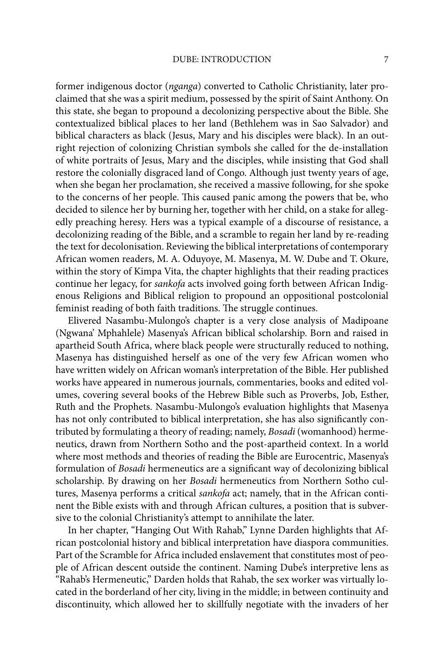former indigenous doctor (*nganga*) converted to Catholic Christianity, later proclaimed that she was a spirit medium, possessed by the spirit of Saint Anthony. On this state, she began to propound a decolonizing perspective about the Bible. She contextualized biblical places to her land (Bethlehem was in Sao Salvador) and biblical characters as black (Jesus, Mary and his disciples were black). In an outright rejection of colonizing Christian symbols she called for the de-installation of white portraits of Jesus, Mary and the disciples, while insisting that God shall restore the colonially disgraced land of Congo. Although just twenty years of age, when she began her proclamation, she received a massive following, for she spoke to the concerns of her people. This caused panic among the powers that be, who decided to silence her by burning her, together with her child, on a stake for allegedly preaching heresy. Hers was a typical example of a discourse of resistance, a decolonizing reading of the Bible, and a scramble to regain her land by re-reading the text for decolonisation. Reviewing the biblical interpretations of contemporary African women readers, M. A. Oduyoye, M. Masenya, M. W. Dube and T. Okure, within the story of Kimpa Vita, the chapter highlights that their reading practices continue her legacy, for *sankofa* acts involved going forth between African Indigenous Religions and Biblical religion to propound an oppositional postcolonial feminist reading of both faith traditions. The struggle continues.

Elivered Nasambu-Mulongo's chapter is a very close analysis of Madipoane (Ngwana' Mphahlele) Masenya's African biblical scholarship. Born and raised in apartheid South Africa, where black people were structurally reduced to nothing, Masenya has distinguished herself as one of the very few African women who have written widely on African woman's interpretation of the Bible. Her published works have appeared in numerous journals, commentaries, books and edited volumes, covering several books of the Hebrew Bible such as Proverbs, Job, Esther, Ruth and the Prophets. Nasambu-Mulongo's evaluation highlights that Masenya has not only contributed to biblical interpretation, she has also significantly contributed by formulating a theory of reading; namely, *Bosadi* (womanhood) hermeneutics, drawn from Northern Sotho and the post-apartheid context. In a world where most methods and theories of reading the Bible are Eurocentric, Masenya's formulation of *Bosadi* hermeneutics are a significant way of decolonizing biblical scholarship. By drawing on her *Bosadi* hermeneutics from Northern Sotho cultures, Masenya performs a critical *sankofa* act; namely, that in the African continent the Bible exists with and through African cultures, a position that is subversive to the colonial Christianity's attempt to annihilate the later.

In her chapter, "Hanging Out With Rahab," Lynne Darden highlights that African postcolonial history and biblical interpretation have diaspora communities. Part of the Scramble for Africa included enslavement that constitutes most of people of African descent outside the continent. Naming Dube's interpretive lens as "Rahab's Hermeneutic," Darden holds that Rahab, the sex worker was virtually located in the borderland of her city, living in the middle; in between continuity and discontinuity, which allowed her to skillfully negotiate with the invaders of her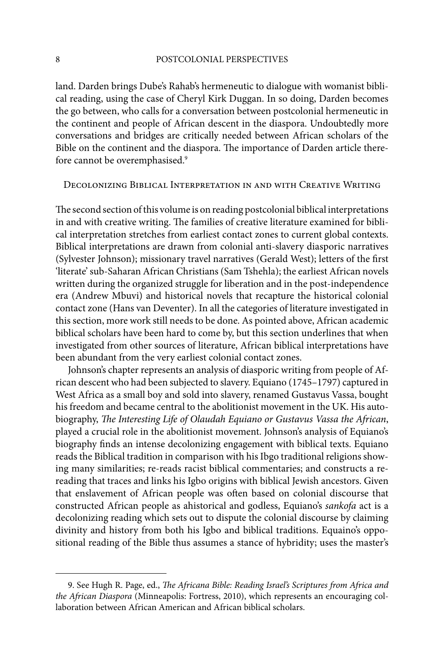land. Darden brings Dube's Rahab's hermeneutic to dialogue with womanist biblical reading, using the case of Cheryl Kirk Duggan. In so doing, Darden becomes the go between, who calls for a conversation between postcolonial hermeneutic in the continent and people of African descent in the diaspora. Undoubtedly more conversations and bridges are critically needed between African scholars of the Bible on the continent and the diaspora. The importance of Darden article therefore cannot be overemphasised.9

Decolonizing Biblical Interpretation in and with Creative Writing

The second section of this volume is on reading postcolonial biblical interpretations in and with creative writing. The families of creative literature examined for biblical interpretation stretches from earliest contact zones to current global contexts. Biblical interpretations are drawn from colonial anti-slavery diasporic narratives (Sylvester Johnson); missionary travel narratives (Gerald West); letters of the first 'literate' sub-Saharan African Christians (Sam Tshehla); the earliest African novels written during the organized struggle for liberation and in the post-independence era (Andrew Mbuvi) and historical novels that recapture the historical colonial contact zone (Hans van Deventer). In all the categories of literature investigated in this section, more work still needs to be done. As pointed above, African academic biblical scholars have been hard to come by, but this section underlines that when investigated from other sources of literature, African biblical interpretations have been abundant from the very earliest colonial contact zones.

Johnson's chapter represents an analysis of diasporic writing from people of African descent who had been subjected to slavery. Equiano (1745–1797) captured in West Africa as a small boy and sold into slavery, renamed Gustavus Vassa, bought his freedom and became central to the abolitionist movement in the UK. His autobiography, *The Interesting Life of Olaudah Equiano or Gustavus Vassa the African*, played a crucial role in the abolitionist movement. Johnson's analysis of Equiano's biography finds an intense decolonizing engagement with biblical texts. Equiano reads the Biblical tradition in comparison with his Ibgo traditional religions showing many similarities; re-reads racist biblical commentaries; and constructs a rereading that traces and links his Igbo origins with biblical Jewish ancestors. Given that enslavement of African people was often based on colonial discourse that constructed African people as ahistorical and godless, Equiano's *sankofa* act is a decolonizing reading which sets out to dispute the colonial discourse by claiming divinity and history from both his Igbo and biblical traditions. Equaino's oppositional reading of the Bible thus assumes a stance of hybridity; uses the master's

<sup>9.</sup> See Hugh R. Page, ed., *The Africana Bible: Reading Israel's Scriptures from Africa and the African Diaspora* (Minneapolis: Fortress, 2010), which represents an encouraging collaboration between African American and African biblical scholars.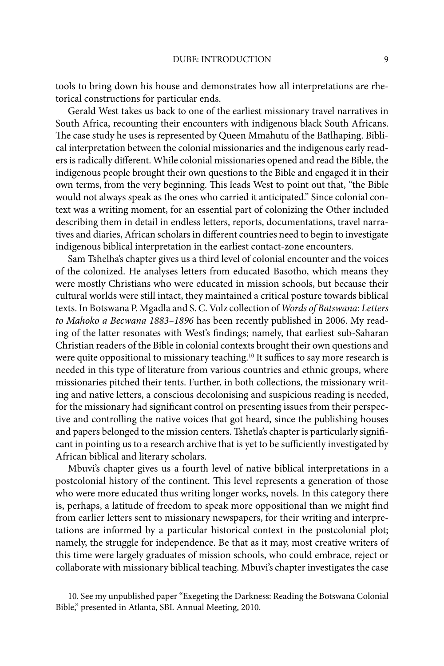tools to bring down his house and demonstrates how all interpretations are rhetorical constructions for particular ends.

Gerald West takes us back to one of the earliest missionary travel narratives in South Africa, recounting their encounters with indigenous black South Africans. The case study he uses is represented by Queen Mmahutu of the Batlhaping. Biblical interpretation between the colonial missionaries and the indigenous early readers is radically different. While colonial missionaries opened and read the Bible, the indigenous people brought their own questions to the Bible and engaged it in their own terms, from the very beginning. This leads West to point out that, "the Bible would not always speak as the ones who carried it anticipated." Since colonial context was a writing moment, for an essential part of colonizing the Other included describing them in detail in endless letters, reports, documentations, travel narratives and diaries, African scholars in different countries need to begin to investigate indigenous biblical interpretation in the earliest contact-zone encounters.

Sam Tshelha's chapter gives us a third level of colonial encounter and the voices of the colonized. He analyses letters from educated Basotho, which means they were mostly Christians who were educated in mission schools, but because their cultural worlds were still intact, they maintained a critical posture towards biblical texts. In Botswana P. Mgadla and S. C. Volz collection of *Words of Batswana: Letters to Mahoko a Becwana 1883–1896* has been recently published in 2006. My reading of the latter resonates with West's findings; namely, that earliest sub-Saharan Christian readers of the Bible in colonial contexts brought their own questions and were quite oppositional to missionary teaching.<sup>10</sup> It suffices to say more research is needed in this type of literature from various countries and ethnic groups, where missionaries pitched their tents. Further, in both collections, the missionary writing and native letters, a conscious decolonising and suspicious reading is needed, for the missionary had significant control on presenting issues from their perspective and controlling the native voices that got heard, since the publishing houses and papers belonged to the mission centers. Tshetla's chapter is particularly signifi cant in pointing us to a research archive that is yet to be sufficiently investigated by African biblical and literary scholars.

Mbuvi's chapter gives us a fourth level of native biblical interpretations in a postcolonial history of the continent. This level represents a generation of those who were more educated thus writing longer works, novels. In this category there is, perhaps, a latitude of freedom to speak more oppositional than we might find from earlier letters sent to missionary newspapers, for their writing and interpretations are informed by a particular historical context in the postcolonial plot; namely, the struggle for independence. Be that as it may, most creative writers of this time were largely graduates of mission schools, who could embrace, reject or collaborate with missionary biblical teaching. Mbuvi's chapter investigates the case

<sup>10.</sup> See my unpublished paper "Exegeting the Darkness: Reading the Botswana Colonial Bible," presented in Atlanta, SBL Annual Meeting, 2010.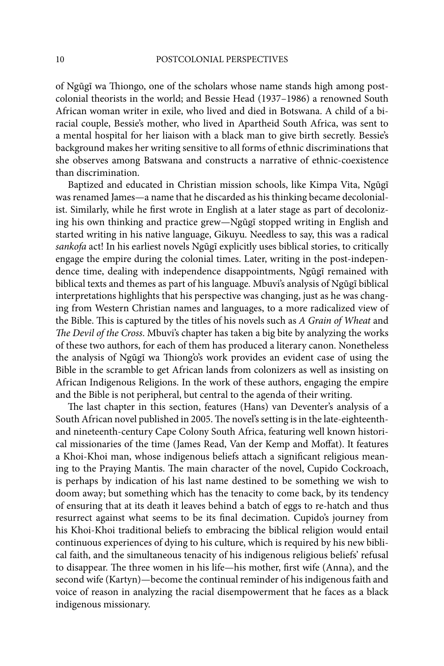of Ngũgĩ wa Thiongo, one of the scholars whose name stands high among postcolonial theorists in the world; and Bessie Head (1937–1986) a renowned South African woman writer in exile, who lived and died in Botswana. A child of a biracial couple, Bessie's mother, who lived in Apartheid South Africa, was sent to a mental hospital for her liaison with a black man to give birth secretly. Bessie's background makes her writing sensitive to all forms of ethnic discriminations that she observes among Batswana and constructs a narrative of ethnic-coexistence than discrimination.

Baptized and educated in Christian mission schools, like Kimpa Vita, Ngũgĩ was renamed James—a name that he discarded as his thinking became decolonialist. Similarly, while he first wrote in English at a later stage as part of decolonizing his own thinking and practice grew—Ngũgĩ stopped writing in English and started writing in his native language, Gikuyu. Needless to say, this was a radical *sankofa* act! In his earliest novels Ngũgĩ explicitly uses biblical stories, to critically engage the empire during the colonial times. Later, writing in the post-independence time, dealing with independence disappointments, Ngũgĩ remained with biblical texts and themes as part of his language. Mbuvi's analysis of Ngũgĩ biblical interpretations highlights that his perspective was changing, just as he was changing from Western Christian names and languages, to a more radicalized view of the Bible. This is captured by the titles of his novels such as *A Grain of Wheat* and *The Devil of the Cross*. Mbuvi's chapter has taken a big bite by analyzing the works of these two authors, for each of them has produced a literary canon. Nonetheless the analysis of Ngũgĩ wa Thiong' o's work provides an evident case of using the Bible in the scramble to get African lands from colonizers as well as insisting on African Indigenous Religions. In the work of these authors, engaging the empire and the Bible is not peripheral, but central to the agenda of their writing.

The last chapter in this section, features (Hans) van Deventer's analysis of a South African novel published in 2005. The novel's setting is in the late-eighteenthand nineteenth-century Cape Colony South Africa, featuring well known historical missionaries of the time (James Read, Van der Kemp and Moffat). It features a Khoi-Khoi man, whose indigenous beliefs attach a significant religious meaning to the Praying Mantis. The main character of the novel, Cupido Cockroach, is perhaps by indication of his last name destined to be something we wish to doom away; but something which has the tenacity to come back, by its tendency of ensuring that at its death it leaves behind a batch of eggs to re-hatch and thus resurrect against what seems to be its final decimation. Cupido's journey from his Khoi-Khoi traditional beliefs to embracing the biblical religion would entail continuous experiences of dying to his culture, which is required by his new biblical faith, and the simultaneous tenacity of his indigenous religious beliefs' refusal to disappear. The three women in his life—his mother, first wife (Anna), and the second wife (Kartyn)—become the continual reminder of his indigenous faith and voice of reason in analyzing the racial disempowerment that he faces as a black indigenous missionary.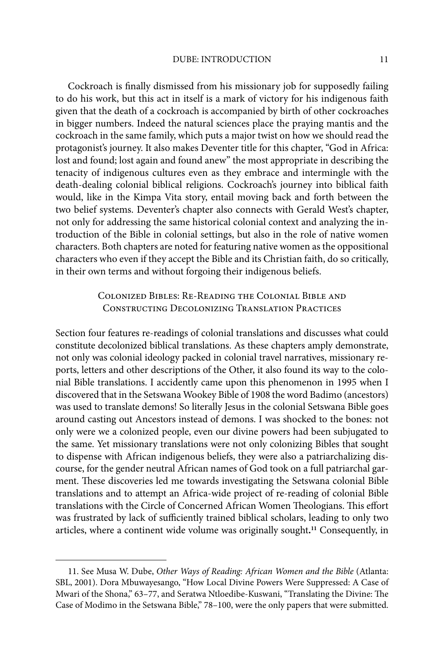#### DUBE: INTRODUCTION 11

Cockroach is finally dismissed from his missionary job for supposedly failing to do his work, but this act in itself is a mark of victory for his indigenous faith given that the death of a cockroach is accompanied by birth of other cockroaches in bigger numbers. Indeed the natural sciences place the praying mantis and the cockroach in the same family, which puts a major twist on how we should read the protagonist's journey. It also makes Deventer title for this chapter, "God in Africa: lost and found; lost again and found anew" the most appropriate in describing the tenacity of indigenous cultures even as they embrace and intermingle with the death-dealing colonial biblical religions. Cockroach's journey into biblical faith would, like in the Kimpa Vita story, entail moving back and forth between the two belief systems. Deventer's chapter also connects with Gerald West's chapter, not only for addressing the same historical colonial context and analyzing the introduction of the Bible in colonial settings, but also in the role of native women characters. Both chapters are noted for featuring native women as the oppositional characters who even if they accept the Bible and its Christian faith, do so critically, in their own terms and without forgoing their indigenous beliefs.

#### Colonized Bibles: Re-Reading the Colonial Bible and Constructing Decolonizing Translation Practices

Section four features re-readings of colonial translations and discusses what could constitute decolonized biblical translations. As these chapters amply demonstrate, not only was colonial ideology packed in colonial travel narratives, missionary reports, letters and other descriptions of the Other, it also found its way to the colonial Bible translations. I accidently came upon this phenomenon in 1995 when I discovered that in the Setswana Wookey Bible of 1908 the word Badimo (ancestors) was used to translate demons! So literally Jesus in the colonial Setswana Bible goes around casting out Ancestors instead of demons. I was shocked to the bones: not only were we a colonized people, even our divine powers had been subjugated to the same. Yet missionary translations were not only colonizing Bibles that sought to dispense with African indigenous beliefs, they were also a patriarchalizing discourse, for the gender neutral African names of God took on a full patriarchal garment. These discoveries led me towards investigating the Setswana colonial Bible translations and to attempt an Africa-wide project of re-reading of colonial Bible translations with the Circle of Concerned African Women Theologians. This effort was frustrated by lack of sufficiently trained biblical scholars, leading to only two articles, where a continent wide volume was originally sought**. <sup>11</sup>** Consequently, in

<sup>11.</sup> See Musa W. Dube, *Other Ways of Reading: African Women and the Bible* (Atlanta: SBL, 2001). Dora Mbuwayesango, "How Local Divine Powers Were Suppressed: A Case of Mwari of the Shona," 63-77, and Seratwa Ntloedibe-Kuswani, "Translating the Divine: The Case of Modimo in the Setswana Bible," 78–100, were the only papers that were submitted.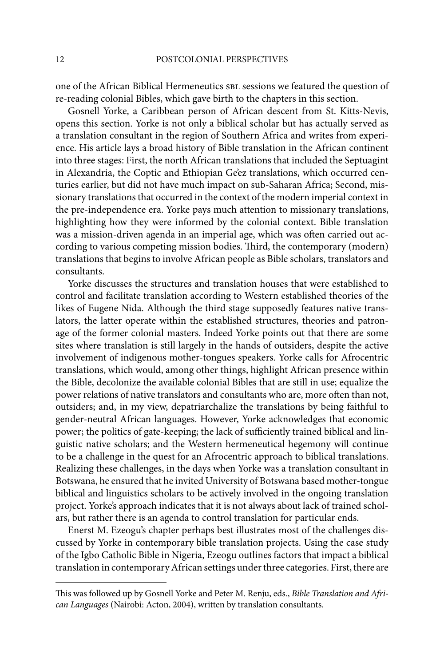one of the African Biblical Hermeneutics sbl sessions we featured the question of re-reading colonial Bibles, which gave birth to the chapters in this section.

Gosnell Yorke, a Caribbean person of African descent from St. Kitts-Nevis, opens this section. Yorke is not only a biblical scholar but has actually served as a translation consultant in the region of Southern Africa and writes from experience. His article lays a broad history of Bible translation in the African continent into three stages: First, the north African translations that included the Septuagint in Alexandria, the Coptic and Ethiopian Ge'ez translations, which occurred centuries earlier, but did not have much impact on sub-Saharan Africa; Second, missionary translations that occurred in the context of the modern imperial context in the pre-independence era. Yorke pays much attention to missionary translations, highlighting how they were informed by the colonial context. Bible translation was a mission-driven agenda in an imperial age, which was often carried out according to various competing mission bodies. Third, the contemporary (modern) translations that begins to involve African people as Bible scholars, translators and consultants.

Yorke discusses the structures and translation houses that were established to control and facilitate translation according to Western established theories of the likes of Eugene Nida. Although the third stage supposedly features native translators, the latter operate within the established structures, theories and patronage of the former colonial masters. Indeed Yorke points out that there are some sites where translation is still largely in the hands of outsiders, despite the active involvement of indigenous mother-tongues speakers. Yorke calls for Afrocentric translations, which would, among other things, highlight African presence within the Bible, decolonize the available colonial Bibles that are still in use; equalize the power relations of native translators and consultants who are, more often than not, outsiders; and, in my view, depatriarchalize the translations by being faithful to gender-neutral African languages. However, Yorke acknowledges that economic power; the politics of gate-keeping; the lack of sufficiently trained biblical and linguistic native scholars; and the Western hermeneutical hegemony will continue to be a challenge in the quest for an Afrocentric approach to biblical translations. Realizing these challenges, in the days when Yorke was a translation consultant in Botswana, he ensured that he invited University of Botswana based mother-tongue biblical and linguistics scholars to be actively involved in the ongoing translation project. Yorke's approach indicates that it is not always about lack of trained scholars, but rather there is an agenda to control translation for particular ends.

Enerst M. Ezeogu's chapter perhaps best illustrates most of the challenges discussed by Yorke in contemporary bible translation projects. Using the case study of the Igbo Catholic Bible in Nigeria, Ezeogu outlines factors that impact a biblical translation in contemporary African settings under three categories. First, there are

This was followed up by Gosnell Yorke and Peter M. Renju, eds., *Bible Translation and African Languages* (Nairobi: Acton, 2004), written by translation consultants.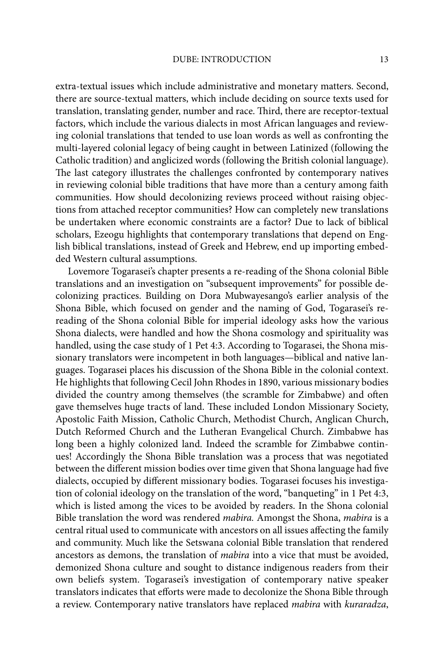extra-textual issues which include administrative and monetary matters. Second, there are source-textual matters, which include deciding on source texts used for translation, translating gender, number and race. Third, there are receptor-textual factors, which include the various dialects in most African languages and reviewing colonial translations that tended to use loan words as well as confronting the multi-layered colonial legacy of being caught in between Latinized (following the Catholic tradition) and anglicized words (following the British colonial language). The last category illustrates the challenges confronted by contemporary natives in reviewing colonial bible traditions that have more than a century among faith communities. How should decolonizing reviews proceed without raising objections from attached receptor communities? How can completely new translations be undertaken where economic constraints are a factor? Due to lack of biblical scholars, Ezeogu highlights that contemporary translations that depend on English biblical translations, instead of Greek and Hebrew, end up importing embedded Western cultural assumptions.

Lovemore Togarasei's chapter presents a re-reading of the Shona colonial Bible translations and an investigation on "subsequent improvements" for possible decolonizing practices. Building on Dora Mubwayesango's earlier analysis of the Shona Bible, which focused on gender and the naming of God, Togarasei's rereading of the Shona colonial Bible for imperial ideology asks how the various Shona dialects, were handled and how the Shona cosmology and spirituality was handled, using the case study of 1 Pet 4:3. According to Togarasei, the Shona missionary translators were incompetent in both languages—biblical and native languages. Togarasei places his discussion of the Shona Bible in the colonial context. He highlights that following Cecil John Rhodes in 1890, various missionary bodies divided the country among themselves (the scramble for Zimbabwe) and often gave themselves huge tracts of land. These included London Missionary Society, Apostolic Faith Mission, Catholic Church, Methodist Church, Anglican Church, Dutch Reformed Church and the Lutheran Evangelical Church. Zimbabwe has long been a highly colonized land. Indeed the scramble for Zimbabwe continues! Accordingly the Shona Bible translation was a process that was negotiated between the different mission bodies over time given that Shona language had five dialects, occupied by different missionary bodies. Togarasei focuses his investigation of colonial ideology on the translation of the word, "banqueting" in 1 Pet 4:3, which is listed among the vices to be avoided by readers. In the Shona colonial Bible translation the word was rendered *mabira.* Amongst the Shona, *mabira* is a central ritual used to communicate with ancestors on all issues affecting the family and community. Much like the Setswana colonial Bible translation that rendered ancestors as demons, the translation of *mabira* into a vice that must be avoided, demonized Shona culture and sought to distance indigenous readers from their own beliefs system. Togarasei's investigation of contemporary native speaker translators indicates that efforts were made to decolonize the Shona Bible through a review. Contemporary native translators have replaced *mabira* with *kuraradza*,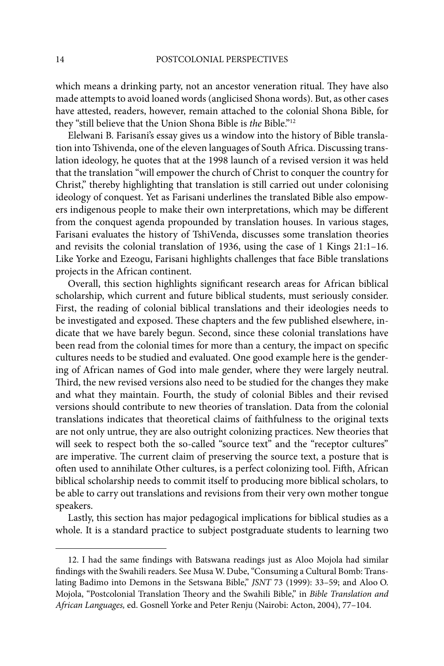which means a drinking party, not an ancestor veneration ritual. They have also made attempts to avoid loaned words (anglicised Shona words). But, as other cases have attested, readers, however, remain attached to the colonial Shona Bible, for they "still believe that the Union Shona Bible is *the* Bible."12

Elelwani B. Farisani's essay gives us a window into the history of Bible translation into Tshivenda, one of the eleven languages of South Africa. Discussing translation ideology, he quotes that at the 1998 launch of a revised version it was held that the translation "will empower the church of Christ to conquer the country for Christ," thereby highlighting that translation is still carried out under colonising ideology of conquest. Yet as Farisani underlines the translated Bible also empowers indigenous people to make their own interpretations, which may be different from the conquest agenda propounded by translation houses. In various stages, Farisani evaluates the history of TshiVenda, discusses some translation theories and revisits the colonial translation of 1936, using the case of 1 Kings 21:1–16. Like Yorke and Ezeogu, Farisani highlights challenges that face Bible translations projects in the African continent.

Overall, this section highlights significant research areas for African biblical scholarship, which current and future biblical students, must seriously consider. First, the reading of colonial biblical translations and their ideologies needs to be investigated and exposed. These chapters and the few published elsewhere, indicate that we have barely begun. Second, since these colonial translations have been read from the colonial times for more than a century, the impact on specific cultures needs to be studied and evaluated. One good example here is the gendering of African names of God into male gender, where they were largely neutral. Third, the new revised versions also need to be studied for the changes they make and what they maintain. Fourth, the study of colonial Bibles and their revised versions should contribute to new theories of translation. Data from the colonial translations indicates that theoretical claims of faithfulness to the original texts are not only untrue, they are also outright colonizing practices. New theories that will seek to respect both the so-called "source text" and the "receptor cultures" are imperative. The current claim of preserving the source text, a posture that is often used to annihilate Other cultures, is a perfect colonizing tool. Fifth, African biblical scholarship needs to commit itself to producing more biblical scholars, to be able to carry out translations and revisions from their very own mother tongue speakers.

Lastly, this section has major pedagogical implications for biblical studies as a whole. It is a standard practice to subject postgraduate students to learning two

<sup>12.</sup> I had the same findings with Batswana readings just as Aloo Mojola had similar findings with the Swahili readers. See Musa W. Dube, "Consuming a Cultural Bomb: Translating Badimo into Demons in the Setswana Bible," *JSNT* 73 (1999): 33–59; and Aloo O. Mojola, "Postcolonial Translation Theory and the Swahili Bible," in *Bible Translation and African Languages,* ed. Gosnell Yorke and Peter Renju (Nairobi: Acton, 2004), 77–104.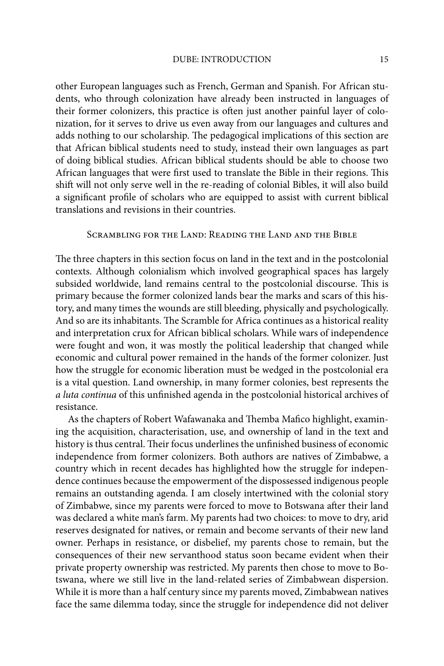other European languages such as French, German and Spanish. For African students, who through colonization have already been instructed in languages of their former colonizers, this practice is often just another painful layer of colonization, for it serves to drive us even away from our languages and cultures and adds nothing to our scholarship. The pedagogical implications of this section are that African biblical students need to study, instead their own languages as part of doing biblical studies. African biblical students should be able to choose two African languages that were first used to translate the Bible in their regions. This shift will not only serve well in the re-reading of colonial Bibles, it will also build a significant profile of scholars who are equipped to assist with current biblical translations and revisions in their countries.

#### Scrambling for the Land: Reading the Land and the Bible

The three chapters in this section focus on land in the text and in the postcolonial contexts. Although colonialism which involved geographical spaces has largely subsided worldwide, land remains central to the postcolonial discourse. This is primary because the former colonized lands bear the marks and scars of this history, and many times the wounds are still bleeding, physically and psychologically. And so are its inhabitants. The Scramble for Africa continues as a historical reality and interpretation crux for African biblical scholars. While wars of independence were fought and won, it was mostly the political leadership that changed while economic and cultural power remained in the hands of the former colonizer. Just how the struggle for economic liberation must be wedged in the postcolonial era is a vital question. Land ownership, in many former colonies, best represents the *a luta continua* of this unfinished agenda in the postcolonial historical archives of resistance.

As the chapters of Robert Wafawanaka and Themba Mafico highlight, examining the acquisition, characterisation, use, and ownership of land in the text and history is thus central. Their focus underlines the unfinished business of economic independence from former colonizers. Both authors are natives of Zimbabwe, a country which in recent decades has highlighted how the struggle for independence continues because the empowerment of the dispossessed indigenous people remains an outstanding agenda. I am closely intertwined with the colonial story of Zimbabwe, since my parents were forced to move to Botswana after their land was declared a white man's farm. My parents had two choices: to move to dry, arid reserves designated for natives, or remain and become servants of their new land owner. Perhaps in resistance, or disbelief, my parents chose to remain, but the consequences of their new servanthood status soon became evident when their private property ownership was restricted. My parents then chose to move to Botswana, where we still live in the land-related series of Zimbabwean dispersion. While it is more than a half century since my parents moved, Zimbabwean natives face the same dilemma today, since the struggle for independence did not deliver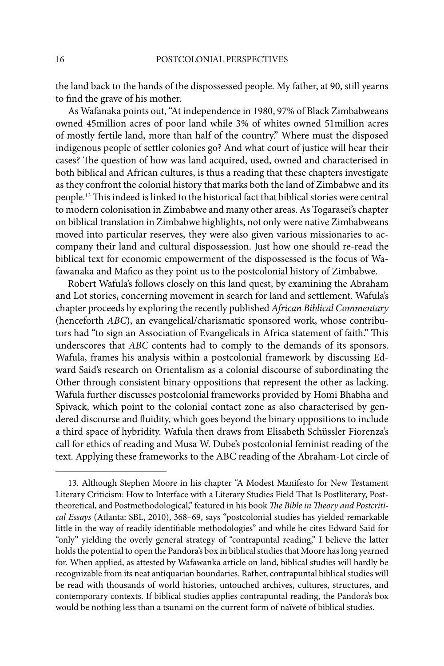the land back to the hands of the dispossessed people. My father, at 90, still yearns to find the grave of his mother.

As Wafanaka points out, "At independence in 1980, 97% of Black Zimbabweans owned 45million acres of poor land while 3% of whites owned 51million acres of mostly fertile land, more than half of the country." Where must the disposed indigenous people of settler colonies go? And what court of justice will hear their cases? The question of how was land acquired, used, owned and characterised in both biblical and African cultures, is thus a reading that these chapters investigate as they confront the colonial history that marks both the land of Zimbabwe and its people.<sup>13</sup> This indeed is linked to the historical fact that biblical stories were central to modern colonisation in Zimbabwe and many other areas. As Togarasei's chapter on biblical translation in Zimbabwe highlights, not only were native Zimbabweans moved into particular reserves, they were also given various missionaries to accompany their land and cultural dispossession. Just how one should re-read the biblical text for economic empowerment of the dispossessed is the focus of Wafawanaka and Mafico as they point us to the postcolonial history of Zimbabwe.

Robert Wafula's follows closely on this land quest, by examining the Abraham and Lot stories, concerning movement in search for land and settlement. Wafula's chapter proceeds by exploring the recently published *African Biblical Commentary* (henceforth *ABC*), an evangelical/charismatic sponsored work, whose contributors had "to sign an Association of Evangelicals in Africa statement of faith." This underscores that *ABC* contents had to comply to the demands of its sponsors. Wafula, frames his analysis within a postcolonial framework by discussing Edward Said's research on Orientalism as a colonial discourse of subordinating the Other through consistent binary oppositions that represent the other as lacking. Wafula further discusses postcolonial frameworks provided by Homi Bhabha and Spivack, which point to the colonial contact zone as also characterised by gendered discourse and fluidity, which goes beyond the binary oppositions to include a third space of hybridity. Wafula then draws from Elisabeth Schüssler Fiorenza's call for ethics of reading and Musa W. Dube's postcolonial feminist reading of the text. Applying these frameworks to the ABC reading of the Abraham-Lot circle of

<sup>13.</sup> Although Stephen Moore in his chapter "A Modest Manifesto for New Testament Literary Criticism: How to Interface with a Literary Studies Field That Is Postliterary, Posttheoretical, and Postmethodological," featured in his book *The Bible in Theory and Postcritical Essays* (Atlanta: SBL, 2010), 368–69, says "postcolonial studies has yielded remarkable little in the way of readily identifiable methodologies" and while he cites Edward Said for "only" yielding the overly general strategy of "contrapuntal reading," I believe the latter holds the potential to open the Pandora's box in biblical studies that Moore has long yearned for. When applied, as attested by Wafawanka article on land, biblical studies will hardly be recognizable from its neat antiquarian boundaries. Rather, contrapuntal biblical studies will be read with thousands of world histories, untouched archives, cultures, structures, and contemporary contexts. If biblical studies applies contrapuntal reading, the Pandora's box would be nothing less than a tsunami on the current form of naïveté of biblical studies.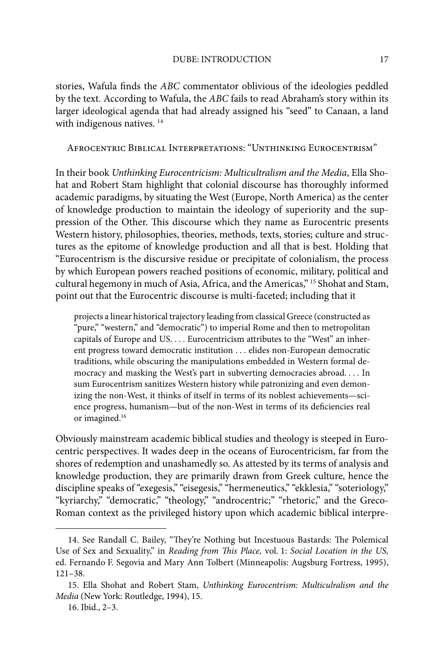stories, Wafula finds the *ABC* commentator oblivious of the ideologies peddled by the text. According to Wafula, the *ABC* fails to read Abraham's story within its larger ideological agenda that had already assigned his "seed" to Canaan, a land with indigenous natives.<sup>14</sup>

Afrocentric Biblical Interpretations: "Unthinking Eurocentrism"

In their book *Unthinking Eurocentricism: Multicultralism and the Media*, Ella Shohat and Robert Stam highlight that colonial discourse has thoroughly informed academic paradigms, by situating the West (Europe, North America) as the center of knowledge production to maintain the ideology of superiority and the suppression of the Other. This discourse which they name as Eurocentric presents Western history, philosophies, theories, methods, texts, stories; culture and structures as the epitome of knowledge production and all that is best. Holding that "Eurocentrism is the discursive residue or precipitate of colonialism, the process by which European powers reached positions of economic, military, political and cultural hegemony in much of Asia, Africa, and the Americas," 15 Shohat and Stam, point out that the Eurocentric discourse is multi-faceted; including that it

projects a linear historical trajectory leading from classical Greece (constructed as "pure," "western," and "democratic") to imperial Rome and then to metropolitan capitals of Europe and US. . . . Eurocentricism attributes to the "West" an inherent progress toward democratic institution . . . elides non-European democratic traditions, while obscuring the manipulations embedded in Western formal democracy and masking the West's part in subverting democracies abroad. . . . In sum Eurocentrism sanitizes Western history while patronizing and even demonizing the non-West, it thinks of itself in terms of its noblest achievements—science progress, humanism—but of the non-West in terms of its deficiencies real or imagined.<sup>16</sup>

Obviously mainstream academic biblical studies and theology is steeped in Eurocentric perspectives. It wades deep in the oceans of Eurocentricism, far from the shores of redemption and unashamedly so. As attested by its terms of analysis and knowledge production, they are primarily drawn from Greek culture, hence the discipline speaks of "exegesis," "eisegesis," "hermeneutics," "ekklesia," "soteriology," "kyriarchy," "democratic," "theology," "androcentric;" "rhetoric," and the Greco-Roman context as the privileged history upon which academic biblical interpre-

<sup>14.</sup> See Randall C. Bailey, "They're Nothing but Incestuous Bastards: The Polemical Use of Sex and Sexuality," in *Reading from This Place, vol. 1: Social Location in the US*, ed. Fernando F. Segovia and Mary Ann Tolbert (Minneapolis: Augsburg Fortress, 1995), 121–38.

<sup>15.</sup> Ella Shohat and Robert Stam, *Unthinking Eurocentrism: Multiculralism and the Media* (New York: Routledge, 1994), 15.

<sup>16.</sup> Ibid., 2–3.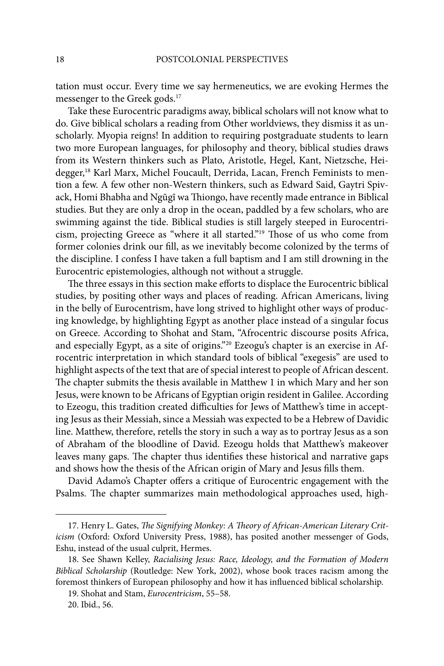tation must occur. Every time we say hermeneutics, we are evoking Hermes the messenger to the Greek gods.17

Take these Eurocentric paradigms away, biblical scholars will not know what to do. Give biblical scholars a reading from Other worldviews, they dismiss it as unscholarly. Myopia reigns! In addition to requiring postgraduate students to learn two more European languages, for philosophy and theory, biblical studies draws from its Western thinkers such as Plato, Aristotle, Hegel, Kant, Nietzsche, Heidegger,18 Karl Marx, Michel Foucault, Derrida, Lacan, French Feminists to mention a few. A few other non-Western thinkers, such as Edward Said, Gaytri Spivack, Homi Bhabha and Ngũgĩ wa Thiongo, have recently made entrance in Biblical studies. But they are only a drop in the ocean, paddled by a few scholars, who are swimming against the tide. Biblical studies is still largely steeped in Eurocentricism, projecting Greece as "where it all started."<sup>19</sup> Those of us who come from former colonies drink our fill, as we inevitably become colonized by the terms of the discipline. I confess I have taken a full baptism and I am still drowning in the Eurocentric epistemologies, although not without a struggle.

The three essays in this section make efforts to displace the Eurocentric biblical studies, by positing other ways and places of reading. African Americans, living in the belly of Eurocentrism, have long strived to highlight other ways of producing knowledge, by highlighting Egypt as another place instead of a singular focus on Greece. According to Shohat and Stam, "Afrocentric discourse posits Africa, and especially Egypt, as a site of origins."20 Ezeogu's chapter is an exercise in Afrocentric interpretation in which standard tools of biblical "exegesis" are used to highlight aspects of the text that are of special interest to people of African descent. The chapter submits the thesis available in Matthew 1 in which Mary and her son Jesus, were known to be Africans of Egyptian origin resident in Galilee. According to Ezeogu, this tradition created difficulties for Jews of Matthew's time in accepting Jesus as their Messiah, since a Messiah was expected to be a Hebrew of Davidic line. Matthew, therefore, retells the story in such a way as to portray Jesus as a son of Abraham of the bloodline of David. Ezeogu holds that Matthew's makeover leaves many gaps. The chapter thus identifies these historical and narrative gaps and shows how the thesis of the African origin of Mary and Jesus fills them.

David Adamo's Chapter offers a critique of Eurocentric engagement with the Psalms. The chapter summarizes main methodological approaches used, high-

<sup>17.</sup> Henry L. Gates, *The Signifying Monkey: A Theory of African-American Literary Criticism* (Oxford: Oxford University Press, 1988), has posited another messenger of Gods, Eshu, instead of the usual culprit, Hermes.

<sup>18.</sup> See Shawn Kelley, *Racialising Jesus: Race, Ideology, and the Formation of Modern Biblical Scholarship* (Routledge: New York, 2002), whose book traces racism among the foremost thinkers of European philosophy and how it has influenced biblical scholarship.

<sup>19.</sup> Shohat and Stam, *Eurocentricism*, 55–58.

<sup>20.</sup> Ibid., 56.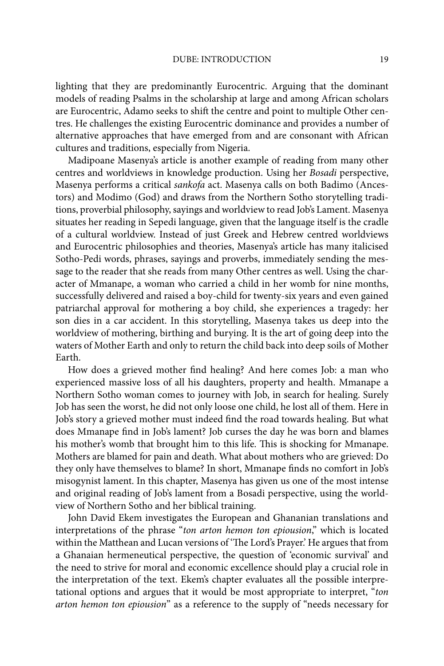lighting that they are predominantly Eurocentric. Arguing that the dominant models of reading Psalms in the scholarship at large and among African scholars are Eurocentric, Adamo seeks to shift the centre and point to multiple Other centres. He challenges the existing Eurocentric dominance and provides a number of alternative approaches that have emerged from and are consonant with African cultures and traditions, especially from Nigeria.

Madipoane Masenya's article is another example of reading from many other centres and worldviews in knowledge production. Using her *Bosadi* perspective, Masenya performs a critical *sankofa* act. Masenya calls on both Badimo (Ancestors) and Modimo (God) and draws from the Northern Sotho storytelling traditions, proverbial philosophy, sayings and worldview to read Job's Lament. Masenya situates her reading in Sepedi language, given that the language itself is the cradle of a cultural worldview. Instead of just Greek and Hebrew centred worldviews and Eurocentric philosophies and theories, Masenya's article has many italicised Sotho-Pedi words, phrases, sayings and proverbs, immediately sending the message to the reader that she reads from many Other centres as well. Using the character of Mmanape, a woman who carried a child in her womb for nine months, successfully delivered and raised a boy-child for twenty-six years and even gained patriarchal approval for mothering a boy child, she experiences a tragedy: her son dies in a car accident. In this storytelling, Masenya takes us deep into the worldview of mothering, birthing and burying. It is the art of going deep into the waters of Mother Earth and only to return the child back into deep soils of Mother Earth.

How does a grieved mother find healing? And here comes Job: a man who experienced massive loss of all his daughters, property and health. Mmanape a Northern Sotho woman comes to journey with Job, in search for healing. Surely Job has seen the worst, he did not only loose one child, he lost all of them. Here in Job's story a grieved mother must indeed find the road towards healing. But what does Mmanape find in Job's lament? Job curses the day he was born and blames his mother's womb that brought him to this life. This is shocking for Mmanape. Mothers are blamed for pain and death. What about mothers who are grieved: Do they only have themselves to blame? In short, Mmanape finds no comfort in Job's misogynist lament. In this chapter, Masenya has given us one of the most intense and original reading of Job's lament from a Bosadi perspective, using the worldview of Northern Sotho and her biblical training.

John David Ekem investigates the European and Ghananian translations and interpretations of the phrase "*ton arton hemon ton epiousion*," which is located within the Matthean and Lucan versions of 'The Lord's Prayer.' He argues that from a Ghanaian hermeneutical perspective, the question of 'economic survival' and the need to strive for moral and economic excellence should play a crucial role in the interpretation of the text. Ekem's chapter evaluates all the possible interpretational options and argues that it would be most appropriate to interpret, "*ton arton hemon ton epiousion*" as a reference to the supply of "needs necessary for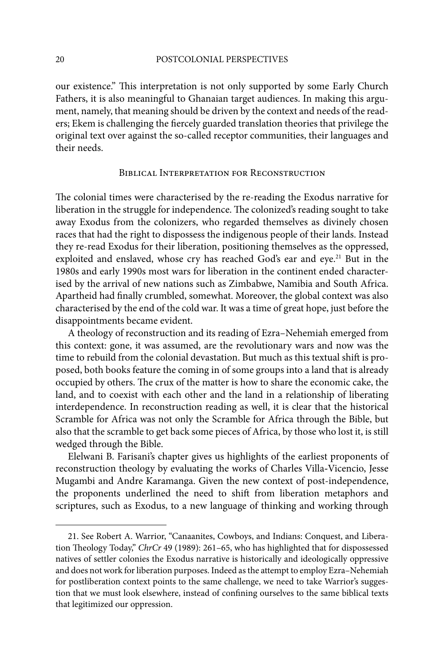our existence." This interpretation is not only supported by some Early Church Fathers, it is also meaningful to Ghanaian target audiences. In making this argument, namely, that meaning should be driven by the context and needs of the readers; Ekem is challenging the fiercely guarded translation theories that privilege the original text over against the so-called receptor communities, their languages and their needs.

#### Biblical Interpretation for Reconstruction

The colonial times were characterised by the re-reading the Exodus narrative for liberation in the struggle for independence. The colonized's reading sought to take away Exodus from the colonizers, who regarded themselves as divinely chosen races that had the right to dispossess the indigenous people of their lands. Instead they re-read Exodus for their liberation, positioning themselves as the oppressed, exploited and enslaved, whose cry has reached God's ear and eye.<sup>21</sup> But in the 1980s and early 1990s most wars for liberation in the continent ended characterised by the arrival of new nations such as Zimbabwe, Namibia and South Africa. Apartheid had finally crumbled, somewhat. Moreover, the global context was also characterised by the end of the cold war. It was a time of great hope, just before the disappointments became evident.

A theology of reconstruction and its reading of Ezra–Nehemiah emerged from this context: gone, it was assumed, are the revolutionary wars and now was the time to rebuild from the colonial devastation. But much as this textual shift is proposed, both books feature the coming in of some groups into a land that is already occupied by others. The crux of the matter is how to share the economic cake, the land, and to coexist with each other and the land in a relationship of liberating interdependence. In reconstruction reading as well, it is clear that the historical Scramble for Africa was not only the Scramble for Africa through the Bible, but also that the scramble to get back some pieces of Africa, by those who lost it, is still wedged through the Bible.

Elelwani B. Farisani's chapter gives us highlights of the earliest proponents of reconstruction theology by evaluating the works of Charles Villa**-**Vicencio, Jesse Mugambi and Andre Karamanga. Given the new context of post-independence, the proponents underlined the need to shift from liberation metaphors and scriptures, such as Exodus, to a new language of thinking and working through

<sup>21.</sup> See Robert A. Warrior, "Canaanites, Cowboys, and Indians: Conquest, and Liberation Theology Today," *ChrCr* 49 (1989): 261–65, who has highlighted that for dispossessed natives of settler colonies the Exodus narrative is historically and ideologically oppressive and does not work for liberation purposes. Indeed as the attempt to employ Ezra–Nehemiah for postliberation context points to the same challenge, we need to take Warrior's suggestion that we must look elsewhere, instead of confining ourselves to the same biblical texts that legitimized our oppression.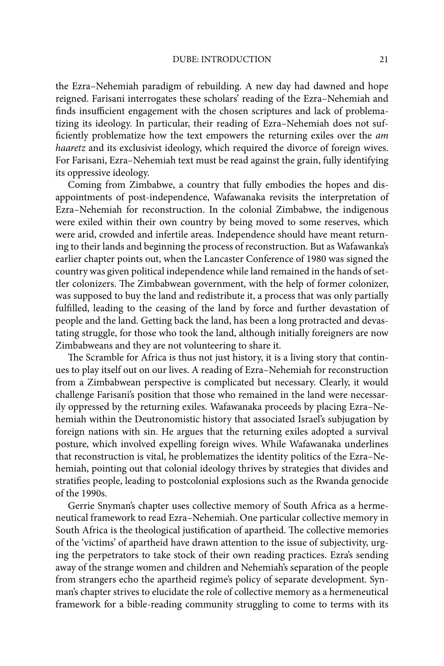the Ezra–Nehemiah paradigm of rebuilding. A new day had dawned and hope reigned. Farisani interrogates these scholars' reading of the Ezra–Nehemiah and finds insufficient engagement with the chosen scriptures and lack of problematizing its ideology. In particular, their reading of Ezra–Nehemiah does not sufficiently problematize how the text empowers the returning exiles over the *am haaretz* and its exclusivist ideology, which required the divorce of foreign wives. For Farisani, Ezra–Nehemiah text must be read against the grain, fully identifying its oppressive ideology.

Coming from Zimbabwe, a country that fully embodies the hopes and disappointments of post-independence, Wafawanaka revisits the interpretation of Ezra–Nehemiah for reconstruction. In the colonial Zimbabwe, the indigenous were exiled within their own country by being moved to some reserves, which were arid, crowded and infertile areas. Independence should have meant returning to their lands and beginning the process of reconstruction. But as Wafawanka's earlier chapter points out, when the Lancaster Conference of 1980 was signed the country was given political independence while land remained in the hands of settler colonizers. The Zimbabwean government, with the help of former colonizer, was supposed to buy the land and redistribute it, a process that was only partially fulfilled, leading to the ceasing of the land by force and further devastation of people and the land. Getting back the land, has been a long protracted and devastating struggle, for those who took the land, although initially foreigners are now Zimbabweans and they are not volunteering to share it.

The Scramble for Africa is thus not just history, it is a living story that continues to play itself out on our lives. A reading of Ezra–Nehemiah for reconstruction from a Zimbabwean perspective is complicated but necessary. Clearly, it would challenge Farisani's position that those who remained in the land were necessarily oppressed by the returning exiles. Wafawanaka proceeds by placing Ezra–Nehemiah within the Deutronomistic history that associated Israel's subjugation by foreign nations with sin. He argues that the returning exiles adopted a survival posture, which involved expelling foreign wives. While Wafawanaka underlines that reconstruction is vital, he problematizes the identity politics of the Ezra–Nehemiah, pointing out that colonial ideology thrives by strategies that divides and stratifies people, leading to postcolonial explosions such as the Rwanda genocide of the 1990s.

Gerrie Snyman's chapter uses collective memory of South Africa as a hermeneutical framework to read Ezra–Nehemiah. One particular collective memory in South Africa is the theological justification of apartheid. The collective memories of the 'victims' of apartheid have drawn attention to the issue of subjectivity, urging the perpetrators to take stock of their own reading practices. Ezra's sending away of the strange women and children and Nehemiah's separation of the people from strangers echo the apartheid regime's policy of separate development. Synman's chapter strives to elucidate the role of collective memory as a hermeneutical framework for a bible-reading community struggling to come to terms with its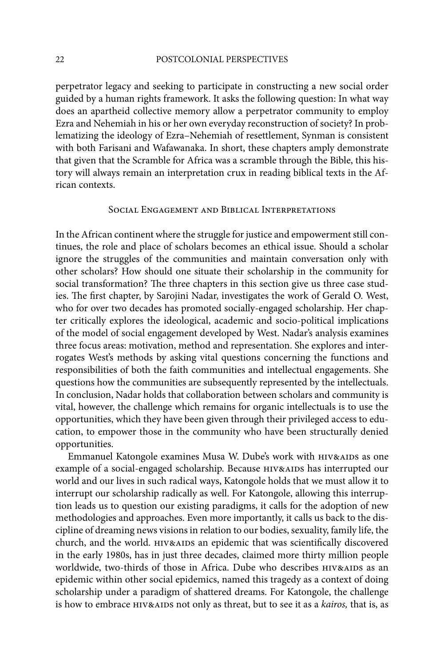perpetrator legacy and seeking to participate in constructing a new social order guided by a human rights framework. It asks the following question: In what way does an apartheid collective memory allow a perpetrator community to employ Ezra and Nehemiah in his or her own everyday reconstruction of society? In problematizing the ideology of Ezra–Nehemiah of resettlement, Synman is consistent with both Farisani and Wafawanaka. In short, these chapters amply demonstrate that given that the Scramble for Africa was a scramble through the Bible, this history will always remain an interpretation crux in reading biblical texts in the African contexts.

#### Social Engagement and Biblical Interpretations

In the African continent where the struggle for justice and empowerment still continues, the role and place of scholars becomes an ethical issue. Should a scholar ignore the struggles of the communities and maintain conversation only with other scholars? How should one situate their scholarship in the community for social transformation? The three chapters in this section give us three case studies. The first chapter, by Sarojini Nadar, investigates the work of Gerald O. West, who for over two decades has promoted socially-engaged scholarship. Her chapter critically explores the ideological, academic and socio-political implications of the model of social engagement developed by West. Nadar's analysis examines three focus areas: motivation, method and representation. She explores and interrogates West's methods by asking vital questions concerning the functions and responsibilities of both the faith communities and intellectual engagements. She questions how the communities are subsequently represented by the intellectuals. In conclusion, Nadar holds that collaboration between scholars and community is vital, however, the challenge which remains for organic intellectuals is to use the opportunities, which they have been given through their privileged access to education, to empower those in the community who have been structurally denied opportunities.

Emmanuel Katongole examines Musa W. Dube's work with HIV&AIDS as one example of a social-engaged scholarship. Because HIV&AIDS has interrupted our world and our lives in such radical ways, Katongole holds that we must allow it to interrupt our scholarship radically as well. For Katongole, allowing this interruption leads us to question our existing paradigms, it calls for the adoption of new methodologies and approaches. Even more importantly, it calls us back to the discipline of dreaming news visions in relation to our bodies, sexuality, family life, the church, and the world. HIV&AIDS an epidemic that was scientifically discovered in the early 1980s, has in just three decades, claimed more thirty million people worldwide, two-thirds of those in Africa. Dube who describes  $HIV&AIDS$  as an epidemic within other social epidemics, named this tragedy as a context of doing scholarship under a paradigm of shattered dreams. For Katongole, the challenge is how to embrace HIV&AIDS not only as threat, but to see it as a *kairos*, that is, as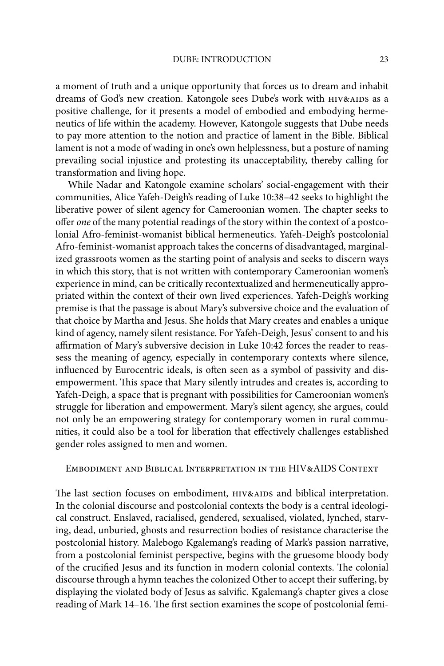a moment of truth and a unique opportunity that forces us to dream and inhabit dreams of God's new creation. Katongole sees Dube's work with HIV&AIDS as a positive challenge, for it presents a model of embodied and embodying hermeneutics of life within the academy. However, Katongole suggests that Dube needs to pay more attention to the notion and practice of lament in the Bible. Biblical lament is not a mode of wading in one's own helplessness, but a posture of naming prevailing social injustice and protesting its unacceptability, thereby calling for transformation and living hope.

While Nadar and Katongole examine scholars' social-engagement with their communities, Alice Yafeh-Deigh's reading of Luke 10:38–42 seeks to highlight the liberative power of silent agency for Cameroonian women. The chapter seeks to offer *one* of the many potential readings of the story within the context of a postcolonial Afro-feminist-womanist biblical hermeneutics. Yafeh-Deigh's postcolonial Afro-feminist-womanist approach takes the concerns of disadvantaged, marginalized grassroots women as the starting point of analysis and seeks to discern ways in which this story, that is not written with contemporary Cameroonian women's experience in mind, can be critically recontextualized and hermeneutically appropriated within the context of their own lived experiences. Yafeh-Deigh's working premise is that the passage is about Mary's subversive choice and the evaluation of that choice by Martha and Jesus. She holds that Mary creates and enables a unique kind of agency, namely silent resistance. For Yafeh-Deigh, Jesus' consent to and his affirmation of Mary's subversive decision in Luke 10:42 forces the reader to reassess the meaning of agency, especially in contemporary contexts where silence, influenced by Eurocentric ideals, is often seen as a symbol of passivity and disempowerment. This space that Mary silently intrudes and creates is, according to Yafeh-Deigh, a space that is pregnant with possibilities for Cameroonian women's struggle for liberation and empowerment. Mary's silent agency, she argues, could not only be an empowering strategy for contemporary women in rural communities, it could also be a tool for liberation that effectively challenges established gender roles assigned to men and women.

#### Embodiment and Biblical Interpretation in the HIV&AIDS Context

The last section focuses on embodiment, HIV&AIDS and biblical interpretation. In the colonial discourse and postcolonial contexts the body is a central ideological construct. Enslaved, racialised, gendered, sexualised, violated, lynched, starving, dead, unburied, ghosts and resurrection bodies of resistance characterise the postcolonial history. Malebogo Kgalemang's reading of Mark's passion narrative, from a postcolonial feminist perspective, begins with the gruesome bloody body of the crucified Jesus and its function in modern colonial contexts. The colonial discourse through a hymn teaches the colonized Other to accept their suffering, by displaying the violated body of Jesus as salvific. Kgalemang's chapter gives a close reading of Mark 14–16. The first section examines the scope of postcolonial femi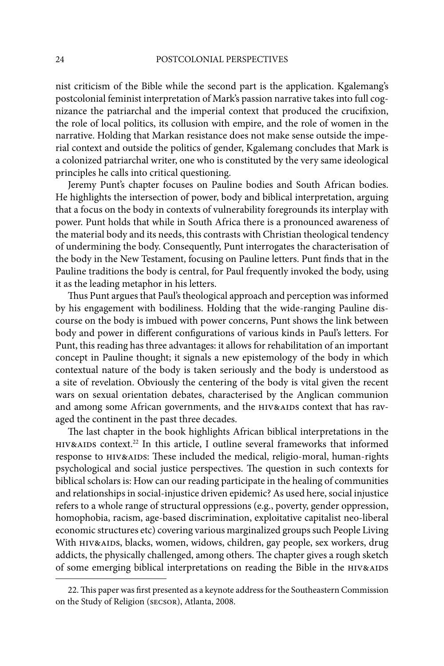nist criticism of the Bible while the second part is the application. Kgalemang's postcolonial feminist interpretation of Mark's passion narrative takes into full cognizance the patriarchal and the imperial context that produced the crucifixion, the role of local politics, its collusion with empire, and the role of women in the narrative. Holding that Markan resistance does not make sense outside the imperial context and outside the politics of gender, Kgalemang concludes that Mark is a colonized patriarchal writer, one who is constituted by the very same ideological principles he calls into critical questioning.

Jeremy Punt's chapter focuses on Pauline bodies and South African bodies. He highlights the intersection of power, body and biblical interpretation, arguing that a focus on the body in contexts of vulnerability foregrounds its interplay with power. Punt holds that while in South Africa there is a pronounced awareness of the material body and its needs, this contrasts with Christian theological tendency of undermining the body. Consequently, Punt interrogates the characterisation of the body in the New Testament, focusing on Pauline letters. Punt finds that in the Pauline traditions the body is central, for Paul frequently invoked the body, using it as the leading metaphor in his letters.

Thus Punt argues that Paul's theological approach and perception was informed by his engagement with bodiliness. Holding that the wide-ranging Pauline discourse on the body is imbued with power concerns, Punt shows the link between body and power in different configurations of various kinds in Paul's letters. For Punt, this reading has three advantages: it allows for rehabilitation of an important concept in Pauline thought; it signals a new epistemology of the body in which contextual nature of the body is taken seriously and the body is understood as a site of revelation. Obviously the centering of the body is vital given the recent wars on sexual orientation debates, characterised by the Anglican communion and among some African governments, and the HIV&AIDS context that has ravaged the continent in the past three decades.

The last chapter in the book highlights African biblical interpretations in the HIV&AIDS context.<sup>22</sup> In this article, I outline several frameworks that informed response to HIV&AIDS: These included the medical, religio-moral, human-rights psychological and social justice perspectives. The question in such contexts for biblical scholars is: How can our reading participate in the healing of communities and relationships in social-injustice driven epidemic? As used here, social injustice refers to a whole range of structural oppressions (e.g., poverty, gender oppression, homophobia, racism, age-based discrimination, exploitative capitalist neo-liberal economic structures etc) covering various marginalized groups such People Living With HIV&AIDS, blacks, women, widows, children, gay people, sex workers, drug addicts, the physically challenged, among others. The chapter gives a rough sketch of some emerging biblical interpretations on reading the Bible in the HIV&AIDS

<sup>22.</sup> This paper was first presented as a keynote address for the Southeastern Commission on the Study of Religion (secsor), Atlanta, 2008.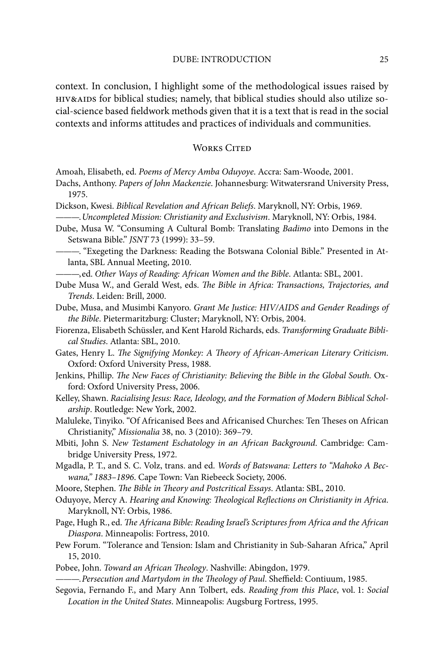context. In conclusion, I highlight some of the methodological issues raised by hiv&aids for biblical studies; namely, that biblical studies should also utilize social-science based fieldwork methods given that it is a text that is read in the social contexts and informs attitudes and practices of individuals and communities.

#### WORKS CITED

- Amoah, Elisabeth, ed. *Poems of Mercy Amba Oduyoye*. Accra: Sam-Woode, 2001.
- Dachs, Anthony. *Papers of John Mackenzie*. Johannesburg: Witwatersrand University Press, 1975.
- Dickson, Kwesi. *Biblical Revelation and African Beliefs*. Maryknoll, NY: Orbis, 1969. ———. *Uncompleted Mission: Christianity and Exclusivism*. Maryknoll, NY: Orbis, 1984.
- Dube, Musa W. "Consuming A Cultural Bomb: Translating *Badimo* into Demons in the Setswana Bible." *JSNT* 73 (1999): 33–59.
- ———. "Exegeting the Darkness: Reading the Botswana Colonial Bible." Presented in Atlanta, SBL Annual Meeting, 2010.
- ———, ed. *Other Ways of Reading: African Women and the Bible*. Atlanta: SBL, 2001.
- Dube Musa W., and Gerald West, eds. *The Bible in Africa: Transactions, Trajectories, and Trends*. Leiden: Brill, 2000.
- Dube, Musa, and Musimbi Kanyoro. *Grant Me Justice: HIV/AIDS and Gender Readings of the Bible*. Pietermaritzburg: Cluster; Maryknoll, NY: Orbis, 2004.
- Fiorenza, Elisabeth Schüssler, and Kent Harold Richards, eds. *Transforming Graduate Biblical Studies*. Atlanta: SBL, 2010.
- Gates, Henry L. *The Signifying Monkey: A Theory of African-American Literary Criticism.* Oxford: Oxford University Press, 1988.
- Jenkins, Phillip. *The New Faces of Christianity: Believing the Bible in the Global South.* Oxford: Oxford University Press, 2006.
- Kelley, Shawn. *Racialising Jesus: Race, Ideology, and the Formation of Modern Biblical Scholarship*. Routledge: New York, 2002.
- Maluleke, Tinyiko. "Of Africanised Bees and Africanised Churches: Ten Theses on African Christianity," *Missionalia* 38, no. 3 (2010): 369–79.
- Mbiti, John S. *New Testament Eschatology in an African Background*. Cambridge: Cambridge University Press, 1972.
- Mgadla, P. T., and S. C. Volz, trans. and ed. *Words of Batswana: Letters to "Mahoko A Becwana," 1883–1896*. Cape Town: Van Riebeeck Society, 2006.
- Moore, Stephen. *The Bible in Theory and Postcritical Essays*. Atlanta: SBL, 2010.
- Oduyoye, Mercy A. *Hearing and Knowing: Theological Reflections on Christianity in Africa.* Maryknoll, NY: Orbis, 1986.
- Page, Hugh R., ed. *The Africana Bible: Reading Israel's Scriptures from Africa and the African Diaspora*. Minneapolis: Fortress, 2010.
- Pew Forum. "Tolerance and Tension: Islam and Christianity in Sub-Saharan Africa," April 15, 2010.
- Pobee, John. *Toward an African Theology*. Nashville: Abingdon, 1979.

———. *Persecution and Martydom in the Theology of Paul*. Sheffield: Contiuum, 1985.

Segovia, Fernando F., and Mary Ann Tolbert, eds. *Reading from this Place*, vol. 1: *Social Location in the United States*. Minneapolis: Augsburg Fortress, 1995.